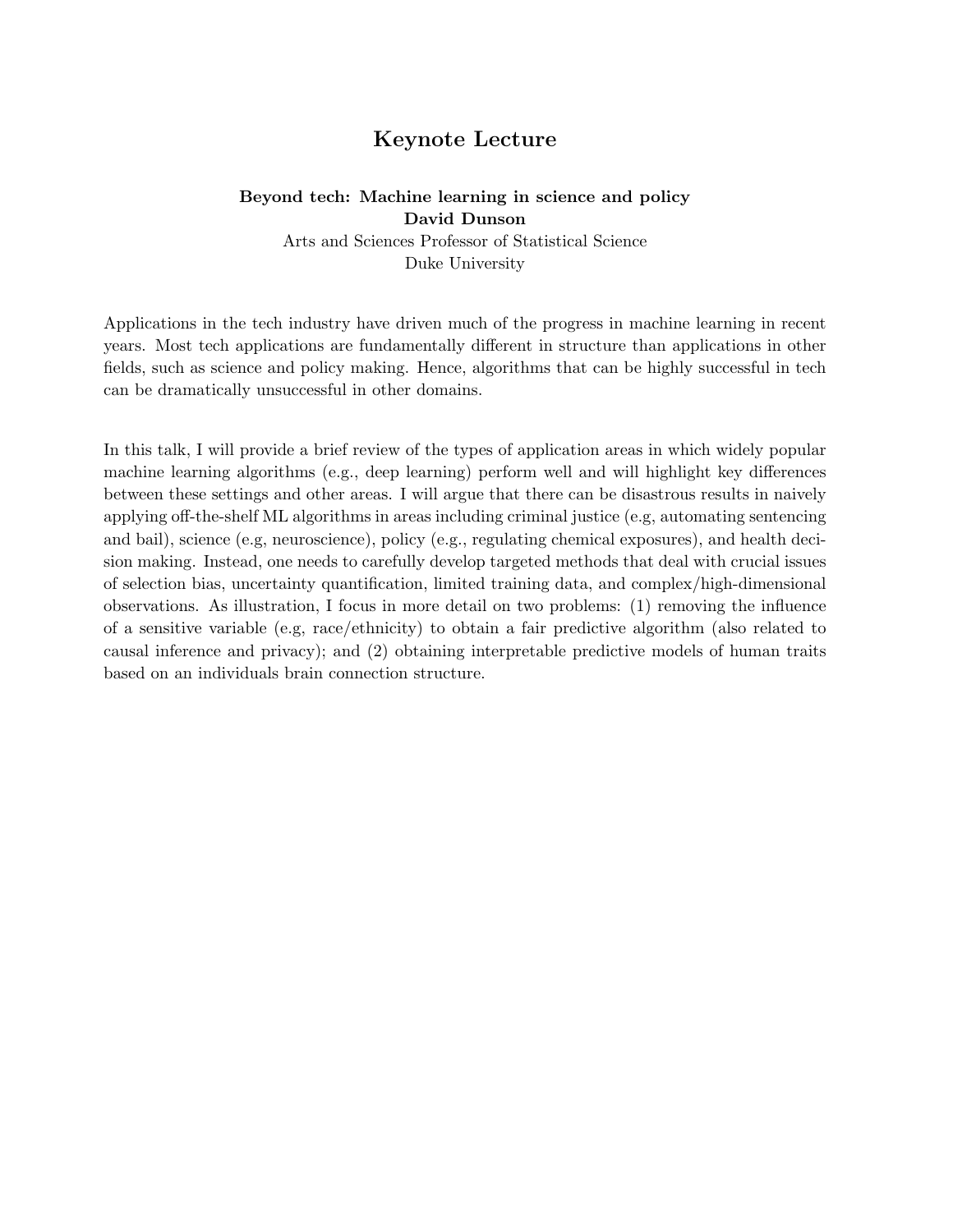# Keynote Lecture

# Beyond tech: Machine learning in science and policy David Dunson

Arts and Sciences Professor of Statistical Science Duke University

Applications in the tech industry have driven much of the progress in machine learning in recent years. Most tech applications are fundamentally different in structure than applications in other fields, such as science and policy making. Hence, algorithms that can be highly successful in tech can be dramatically unsuccessful in other domains.

In this talk, I will provide a brief review of the types of application areas in which widely popular machine learning algorithms (e.g., deep learning) perform well and will highlight key differences between these settings and other areas. I will argue that there can be disastrous results in naively applying off-the-shelf ML algorithms in areas including criminal justice (e.g, automating sentencing and bail), science (e.g, neuroscience), policy (e.g., regulating chemical exposures), and health decision making. Instead, one needs to carefully develop targeted methods that deal with crucial issues of selection bias, uncertainty quantification, limited training data, and complex/high-dimensional observations. As illustration, I focus in more detail on two problems: (1) removing the influence of a sensitive variable (e.g, race/ethnicity) to obtain a fair predictive algorithm (also related to causal inference and privacy); and (2) obtaining interpretable predictive models of human traits based on an individuals brain connection structure.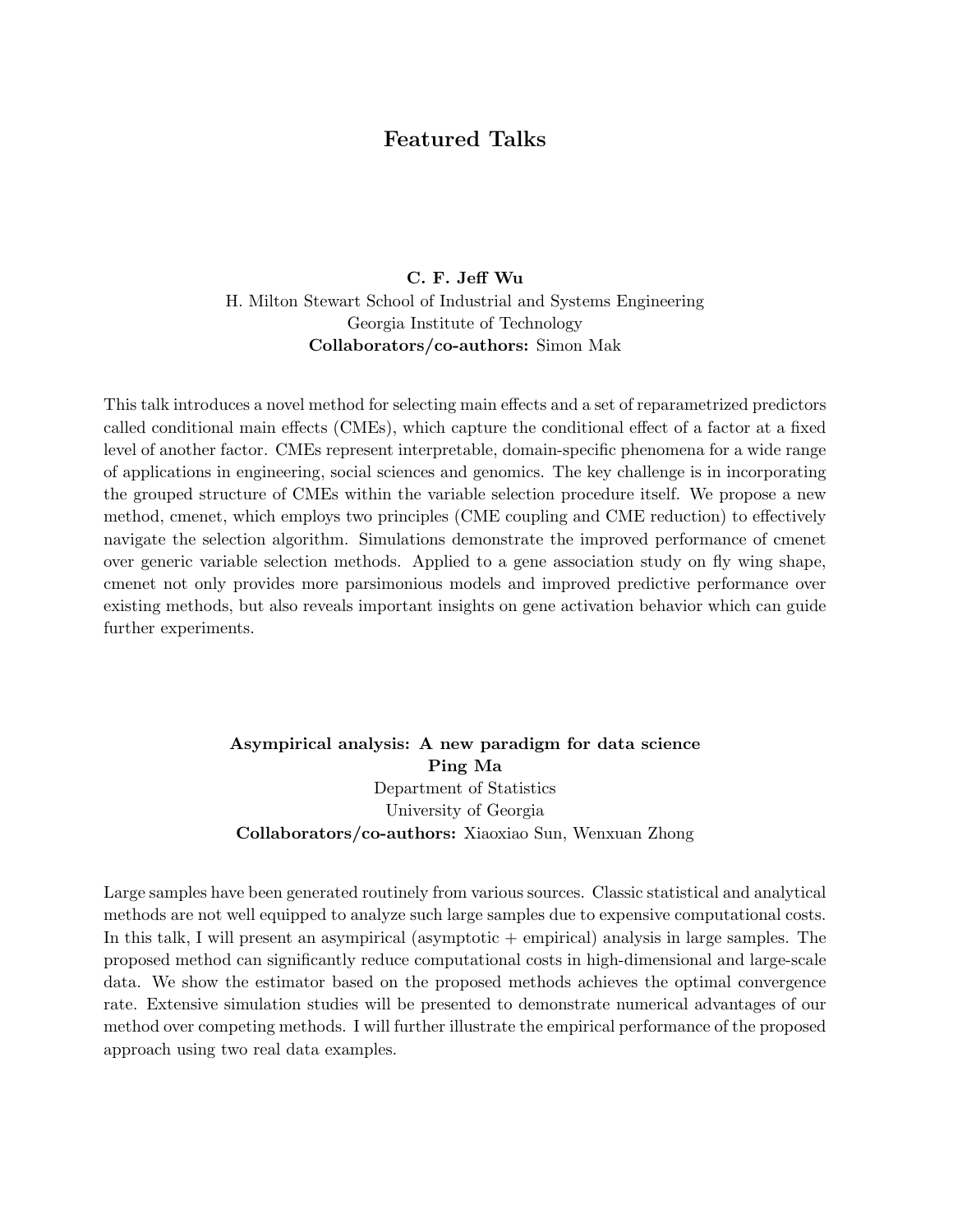## Featured Talks

#### C. F. Jeff Wu

H. Milton Stewart School of Industrial and Systems Engineering Georgia Institute of Technology Collaborators/co-authors: Simon Mak

This talk introduces a novel method for selecting main effects and a set of reparametrized predictors called conditional main effects (CMEs), which capture the conditional effect of a factor at a fixed level of another factor. CMEs represent interpretable, domain-specific phenomena for a wide range of applications in engineering, social sciences and genomics. The key challenge is in incorporating the grouped structure of CMEs within the variable selection procedure itself. We propose a new method, cmenet, which employs two principles (CME coupling and CME reduction) to effectively navigate the selection algorithm. Simulations demonstrate the improved performance of cmenet over generic variable selection methods. Applied to a gene association study on fly wing shape, cmenet not only provides more parsimonious models and improved predictive performance over existing methods, but also reveals important insights on gene activation behavior which can guide further experiments.

## Asympirical analysis: A new paradigm for data science Ping Ma Department of Statistics University of Georgia Collaborators/co-authors: Xiaoxiao Sun, Wenxuan Zhong

Large samples have been generated routinely from various sources. Classic statistical and analytical methods are not well equipped to analyze such large samples due to expensive computational costs. In this talk, I will present an asympirical (asymptotic + empirical) analysis in large samples. The proposed method can significantly reduce computational costs in high-dimensional and large-scale data. We show the estimator based on the proposed methods achieves the optimal convergence rate. Extensive simulation studies will be presented to demonstrate numerical advantages of our method over competing methods. I will further illustrate the empirical performance of the proposed approach using two real data examples.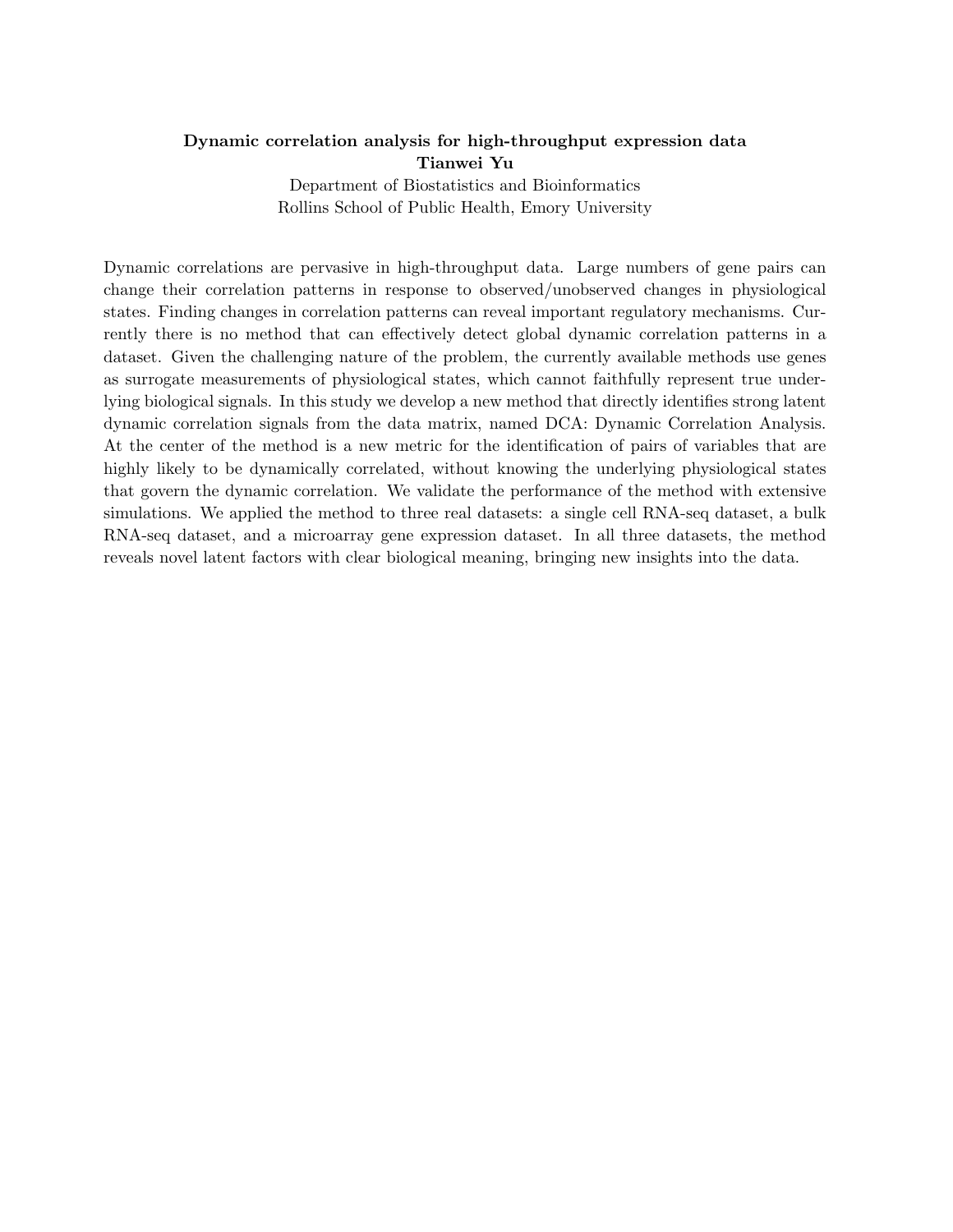# Dynamic correlation analysis for high-throughput expression data Tianwei Yu

Department of Biostatistics and Bioinformatics Rollins School of Public Health, Emory University

Dynamic correlations are pervasive in high-throughput data. Large numbers of gene pairs can change their correlation patterns in response to observed/unobserved changes in physiological states. Finding changes in correlation patterns can reveal important regulatory mechanisms. Currently there is no method that can effectively detect global dynamic correlation patterns in a dataset. Given the challenging nature of the problem, the currently available methods use genes as surrogate measurements of physiological states, which cannot faithfully represent true underlying biological signals. In this study we develop a new method that directly identifies strong latent dynamic correlation signals from the data matrix, named DCA: Dynamic Correlation Analysis. At the center of the method is a new metric for the identification of pairs of variables that are highly likely to be dynamically correlated, without knowing the underlying physiological states that govern the dynamic correlation. We validate the performance of the method with extensive simulations. We applied the method to three real datasets: a single cell RNA-seq dataset, a bulk RNA-seq dataset, and a microarray gene expression dataset. In all three datasets, the method reveals novel latent factors with clear biological meaning, bringing new insights into the data.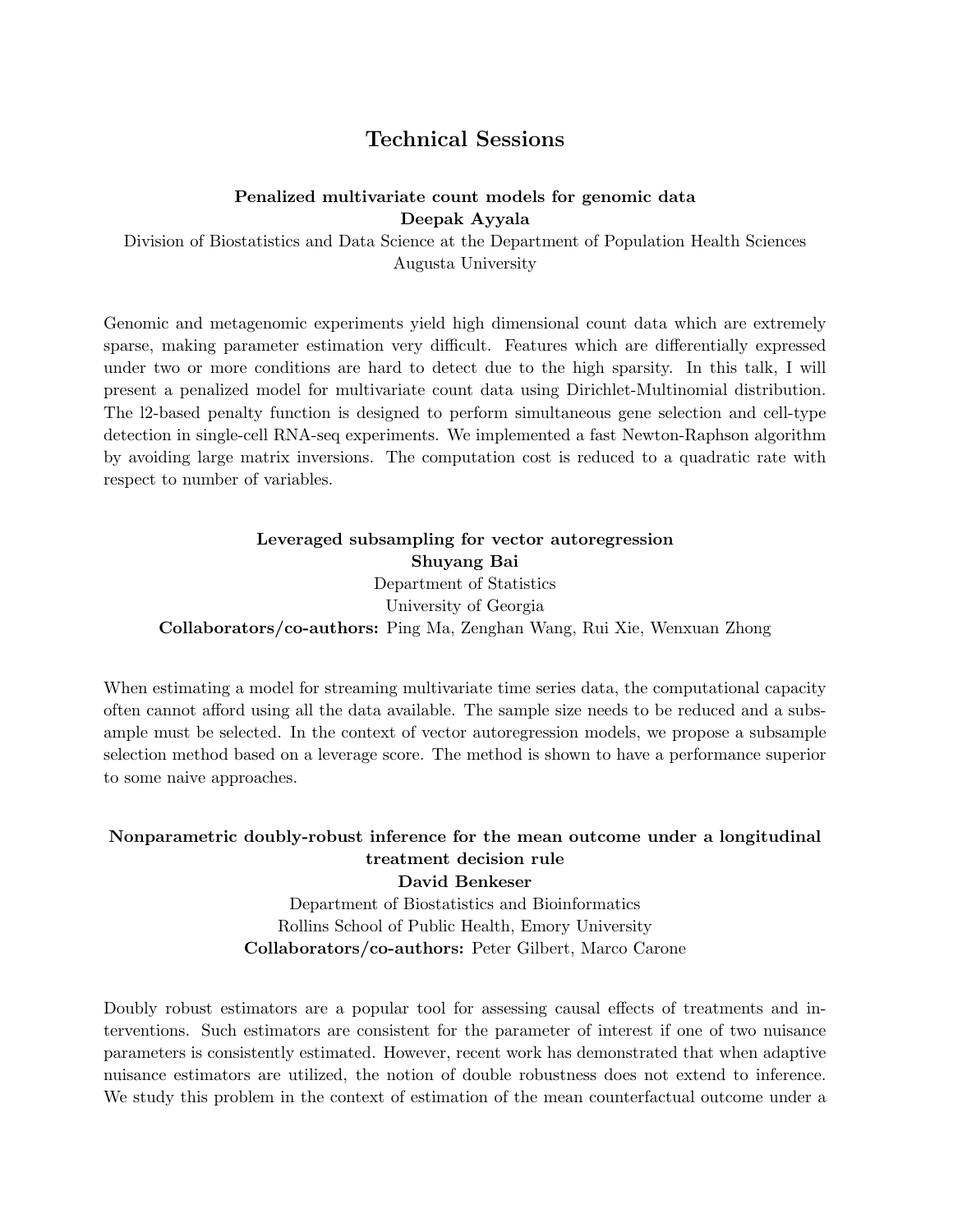# Technical Sessions

#### Penalized multivariate count models for genomic data Deepak Ayyala

Division of Biostatistics and Data Science at the Department of Population Health Sciences Augusta University

Genomic and metagenomic experiments yield high dimensional count data which are extremely sparse, making parameter estimation very difficult. Features which are differentially expressed under two or more conditions are hard to detect due to the high sparsity. In this talk, I will present a penalized model for multivariate count data using Dirichlet-Multinomial distribution. The l2-based penalty function is designed to perform simultaneous gene selection and cell-type detection in single-cell RNA-seq experiments. We implemented a fast Newton-Raphson algorithm by avoiding large matrix inversions. The computation cost is reduced to a quadratic rate with respect to number of variables.

Leveraged subsampling for vector autoregression Shuyang Bai Department of Statistics University of Georgia Collaborators/co-authors: Ping Ma, Zenghan Wang, Rui Xie, Wenxuan Zhong

When estimating a model for streaming multivariate time series data, the computational capacity often cannot afford using all the data available. The sample size needs to be reduced and a subsample must be selected. In the context of vector autoregression models, we propose a subsample selection method based on a leverage score. The method is shown to have a performance superior to some naive approaches.

#### Nonparametric doubly-robust inference for the mean outcome under a longitudinal treatment decision rule David Benkeser

Department of Biostatistics and Bioinformatics Rollins School of Public Health, Emory University Collaborators/co-authors: Peter Gilbert, Marco Carone

Doubly robust estimators are a popular tool for assessing causal effects of treatments and interventions. Such estimators are consistent for the parameter of interest if one of two nuisance parameters is consistently estimated. However, recent work has demonstrated that when adaptive nuisance estimators are utilized, the notion of double robustness does not extend to inference. We study this problem in the context of estimation of the mean counterfactual outcome under a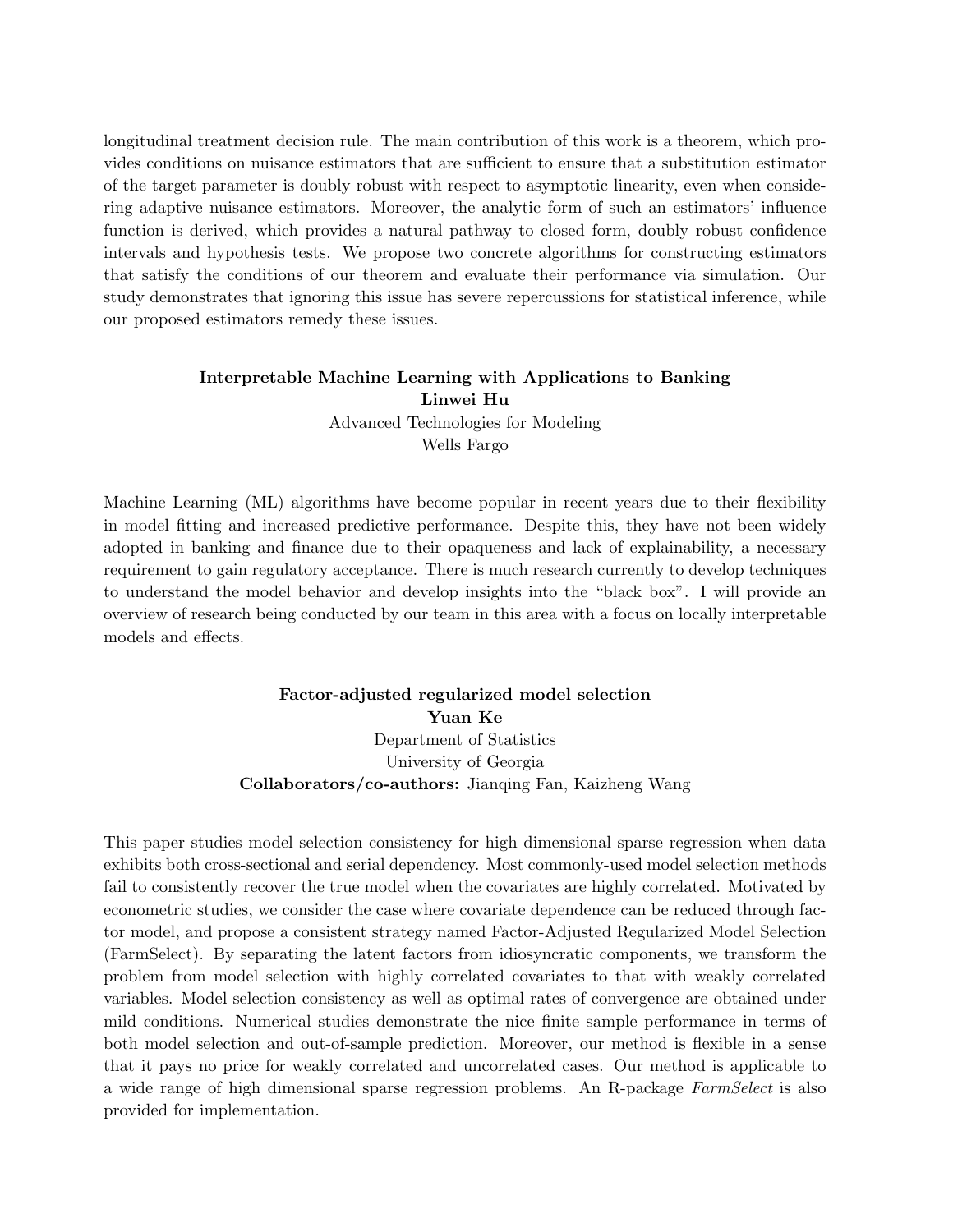longitudinal treatment decision rule. The main contribution of this work is a theorem, which provides conditions on nuisance estimators that are sufficient to ensure that a substitution estimator of the target parameter is doubly robust with respect to asymptotic linearity, even when considering adaptive nuisance estimators. Moreover, the analytic form of such an estimators' influence function is derived, which provides a natural pathway to closed form, doubly robust confidence intervals and hypothesis tests. We propose two concrete algorithms for constructing estimators that satisfy the conditions of our theorem and evaluate their performance via simulation. Our study demonstrates that ignoring this issue has severe repercussions for statistical inference, while our proposed estimators remedy these issues.

#### Interpretable Machine Learning with Applications to Banking Linwei Hu Advanced Technologies for Modeling Wells Fargo

Machine Learning (ML) algorithms have become popular in recent years due to their flexibility in model fitting and increased predictive performance. Despite this, they have not been widely adopted in banking and finance due to their opaqueness and lack of explainability, a necessary requirement to gain regulatory acceptance. There is much research currently to develop techniques to understand the model behavior and develop insights into the "black box". I will provide an overview of research being conducted by our team in this area with a focus on locally interpretable models and effects.

#### Factor-adjusted regularized model selection Yuan Ke Department of Statistics University of Georgia Collaborators/co-authors: Jianqing Fan, Kaizheng Wang

This paper studies model selection consistency for high dimensional sparse regression when data exhibits both cross-sectional and serial dependency. Most commonly-used model selection methods fail to consistently recover the true model when the covariates are highly correlated. Motivated by econometric studies, we consider the case where covariate dependence can be reduced through factor model, and propose a consistent strategy named Factor-Adjusted Regularized Model Selection (FarmSelect). By separating the latent factors from idiosyncratic components, we transform the problem from model selection with highly correlated covariates to that with weakly correlated variables. Model selection consistency as well as optimal rates of convergence are obtained under mild conditions. Numerical studies demonstrate the nice finite sample performance in terms of both model selection and out-of-sample prediction. Moreover, our method is flexible in a sense that it pays no price for weakly correlated and uncorrelated cases. Our method is applicable to a wide range of high dimensional sparse regression problems. An R-package FarmSelect is also provided for implementation.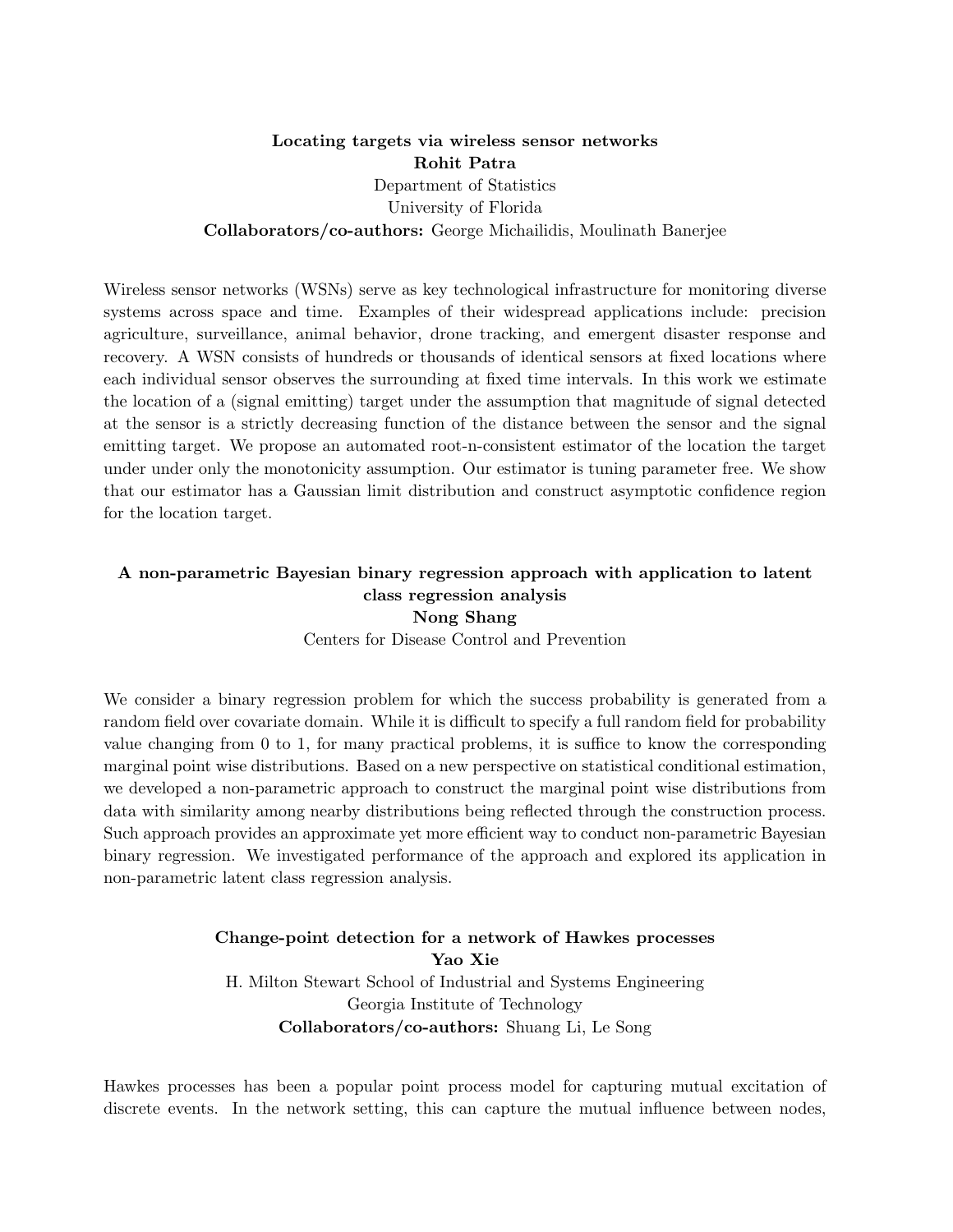## Locating targets via wireless sensor networks Rohit Patra Department of Statistics University of Florida Collaborators/co-authors: George Michailidis, Moulinath Banerjee

Wireless sensor networks (WSNs) serve as key technological infrastructure for monitoring diverse systems across space and time. Examples of their widespread applications include: precision agriculture, surveillance, animal behavior, drone tracking, and emergent disaster response and recovery. A WSN consists of hundreds or thousands of identical sensors at fixed locations where each individual sensor observes the surrounding at fixed time intervals. In this work we estimate the location of a (signal emitting) target under the assumption that magnitude of signal detected at the sensor is a strictly decreasing function of the distance between the sensor and the signal emitting target. We propose an automated root-n-consistent estimator of the location the target under under only the monotonicity assumption. Our estimator is tuning parameter free. We show that our estimator has a Gaussian limit distribution and construct asymptotic confidence region for the location target.

# A non-parametric Bayesian binary regression approach with application to latent class regression analysis Nong Shang

Centers for Disease Control and Prevention

We consider a binary regression problem for which the success probability is generated from a random field over covariate domain. While it is difficult to specify a full random field for probability value changing from 0 to 1, for many practical problems, it is suffice to know the corresponding marginal point wise distributions. Based on a new perspective on statistical conditional estimation, we developed a non-parametric approach to construct the marginal point wise distributions from data with similarity among nearby distributions being reflected through the construction process. Such approach provides an approximate yet more efficient way to conduct non-parametric Bayesian binary regression. We investigated performance of the approach and explored its application in non-parametric latent class regression analysis.

## Change-point detection for a network of Hawkes processes Yao Xie H. Milton Stewart School of Industrial and Systems Engineering Georgia Institute of Technology Collaborators/co-authors: Shuang Li, Le Song

Hawkes processes has been a popular point process model for capturing mutual excitation of discrete events. In the network setting, this can capture the mutual influence between nodes,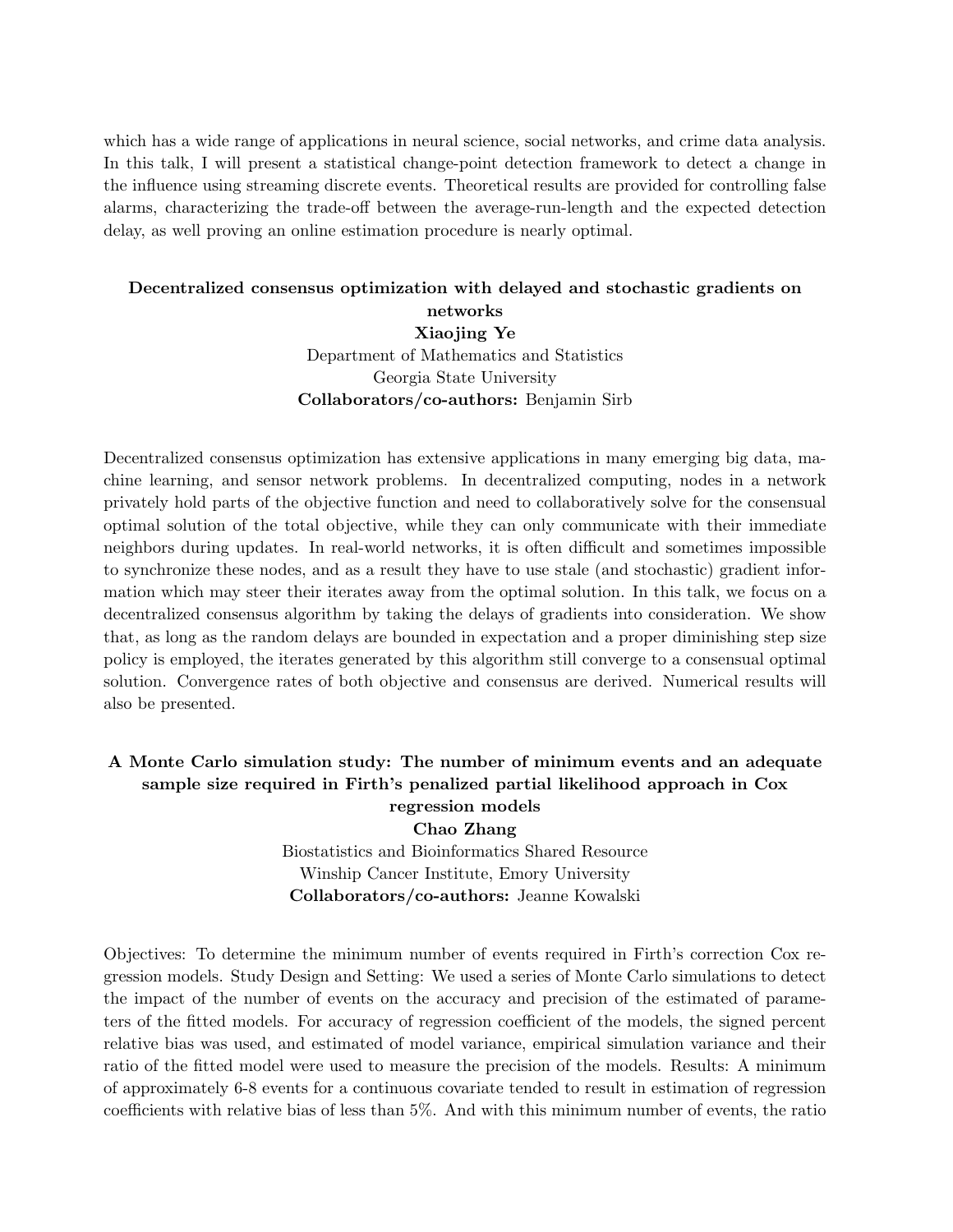which has a wide range of applications in neural science, social networks, and crime data analysis. In this talk, I will present a statistical change-point detection framework to detect a change in the influence using streaming discrete events. Theoretical results are provided for controlling false alarms, characterizing the trade-off between the average-run-length and the expected detection delay, as well proving an online estimation procedure is nearly optimal.

# Decentralized consensus optimization with delayed and stochastic gradients on networks Xiaojing Ye Department of Mathematics and Statistics Georgia State University Collaborators/co-authors: Benjamin Sirb

Decentralized consensus optimization has extensive applications in many emerging big data, machine learning, and sensor network problems. In decentralized computing, nodes in a network privately hold parts of the objective function and need to collaboratively solve for the consensual optimal solution of the total objective, while they can only communicate with their immediate neighbors during updates. In real-world networks, it is often difficult and sometimes impossible to synchronize these nodes, and as a result they have to use stale (and stochastic) gradient information which may steer their iterates away from the optimal solution. In this talk, we focus on a decentralized consensus algorithm by taking the delays of gradients into consideration. We show that, as long as the random delays are bounded in expectation and a proper diminishing step size policy is employed, the iterates generated by this algorithm still converge to a consensual optimal solution. Convergence rates of both objective and consensus are derived. Numerical results will also be presented.

#### A Monte Carlo simulation study: The number of minimum events and an adequate sample size required in Firth's penalized partial likelihood approach in Cox regression models

Chao Zhang Biostatistics and Bioinformatics Shared Resource Winship Cancer Institute, Emory University Collaborators/co-authors: Jeanne Kowalski

Objectives: To determine the minimum number of events required in Firth's correction Cox regression models. Study Design and Setting: We used a series of Monte Carlo simulations to detect the impact of the number of events on the accuracy and precision of the estimated of parameters of the fitted models. For accuracy of regression coefficient of the models, the signed percent relative bias was used, and estimated of model variance, empirical simulation variance and their ratio of the fitted model were used to measure the precision of the models. Results: A minimum of approximately 6-8 events for a continuous covariate tended to result in estimation of regression coefficients with relative bias of less than 5%. And with this minimum number of events, the ratio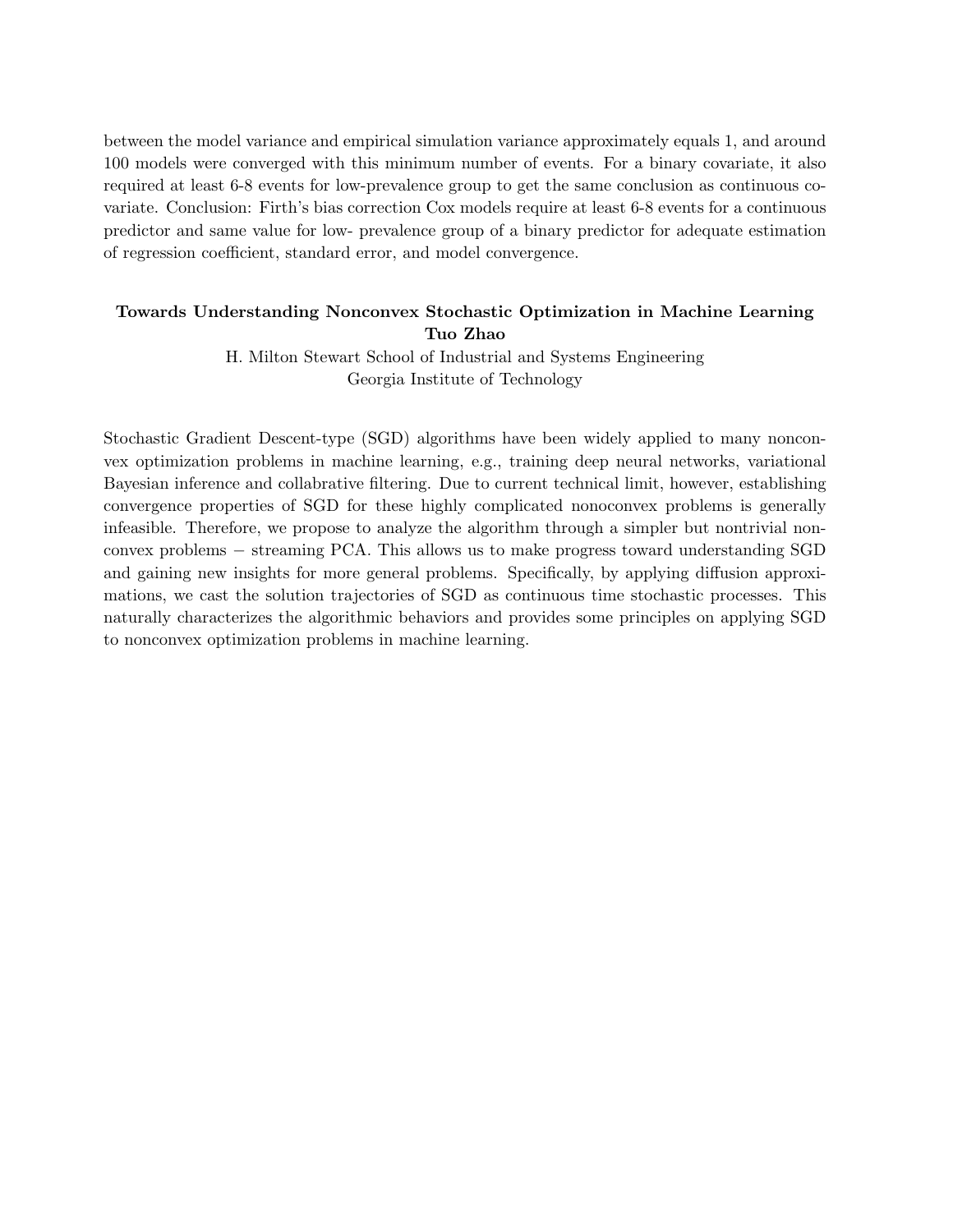between the model variance and empirical simulation variance approximately equals 1, and around 100 models were converged with this minimum number of events. For a binary covariate, it also required at least 6-8 events for low-prevalence group to get the same conclusion as continuous covariate. Conclusion: Firth's bias correction Cox models require at least 6-8 events for a continuous predictor and same value for low- prevalence group of a binary predictor for adequate estimation of regression coefficient, standard error, and model convergence.

#### Towards Understanding Nonconvex Stochastic Optimization in Machine Learning Tuo Zhao

H. Milton Stewart School of Industrial and Systems Engineering Georgia Institute of Technology

Stochastic Gradient Descent-type (SGD) algorithms have been widely applied to many nonconvex optimization problems in machine learning, e.g., training deep neural networks, variational Bayesian inference and collabrative filtering. Due to current technical limit, however, establishing convergence properties of SGD for these highly complicated nonoconvex problems is generally infeasible. Therefore, we propose to analyze the algorithm through a simpler but nontrivial nonconvex problems − streaming PCA. This allows us to make progress toward understanding SGD and gaining new insights for more general problems. Specifically, by applying diffusion approximations, we cast the solution trajectories of SGD as continuous time stochastic processes. This naturally characterizes the algorithmic behaviors and provides some principles on applying SGD to nonconvex optimization problems in machine learning.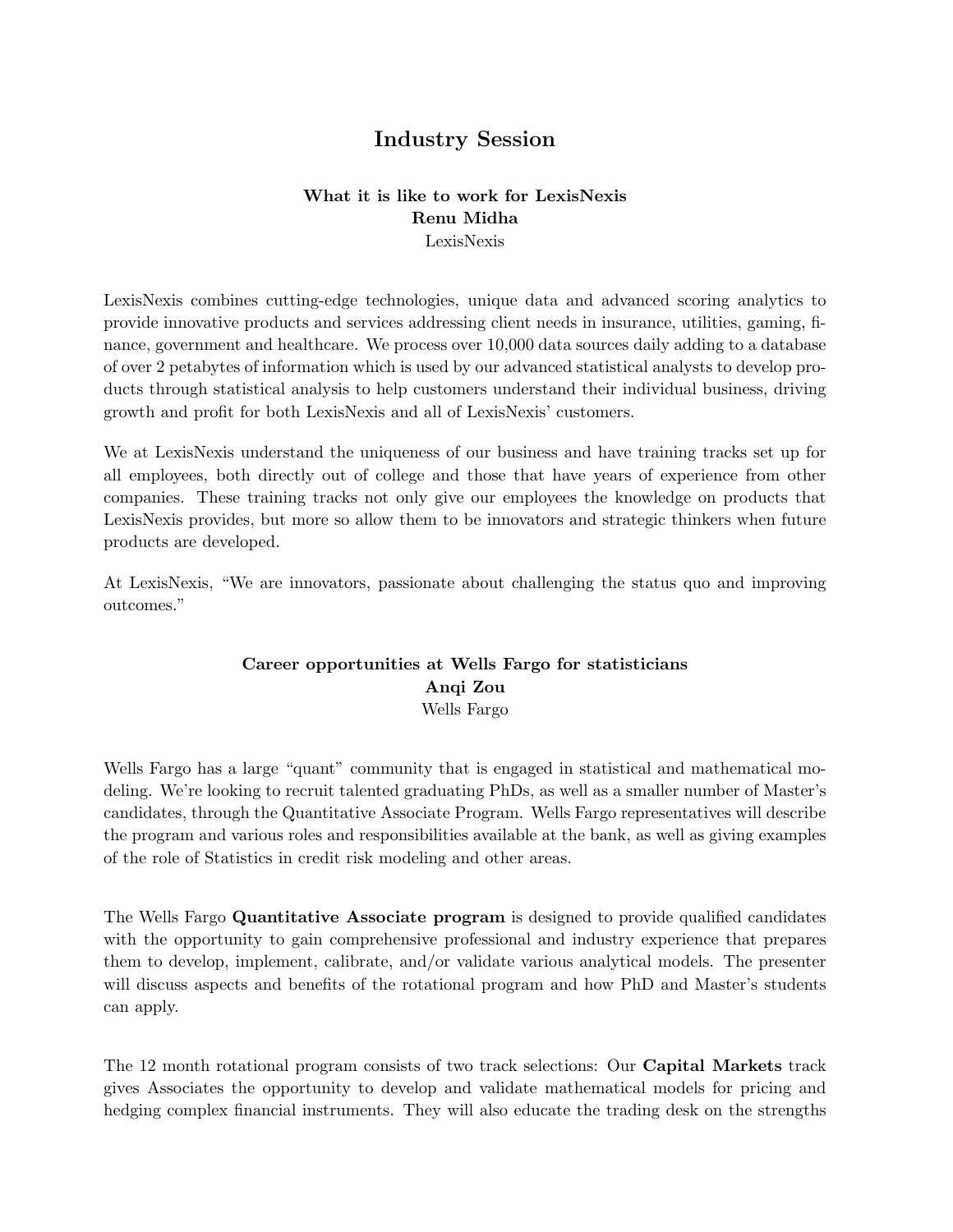# Industry Session

#### What it is like to work for LexisNexis Renu Midha LexisNexis

LexisNexis combines cutting-edge technologies, unique data and advanced scoring analytics to provide innovative products and services addressing client needs in insurance, utilities, gaming, finance, government and healthcare. We process over 10,000 data sources daily adding to a database of over 2 petabytes of information which is used by our advanced statistical analysts to develop products through statistical analysis to help customers understand their individual business, driving growth and profit for both LexisNexis and all of LexisNexis' customers.

We at LexisNexis understand the uniqueness of our business and have training tracks set up for all employees, both directly out of college and those that have years of experience from other companies. These training tracks not only give our employees the knowledge on products that LexisNexis provides, but more so allow them to be innovators and strategic thinkers when future products are developed.

At LexisNexis, "We are innovators, passionate about challenging the status quo and improving outcomes."

#### Career opportunities at Wells Fargo for statisticians Anqi Zou Wells Fargo

Wells Fargo has a large "quant" community that is engaged in statistical and mathematical modeling. We're looking to recruit talented graduating PhDs, as well as a smaller number of Master's candidates, through the Quantitative Associate Program. Wells Fargo representatives will describe the program and various roles and responsibilities available at the bank, as well as giving examples of the role of Statistics in credit risk modeling and other areas.

The Wells Fargo Quantitative Associate program is designed to provide qualified candidates with the opportunity to gain comprehensive professional and industry experience that prepares them to develop, implement, calibrate, and/or validate various analytical models. The presenter will discuss aspects and benefits of the rotational program and how PhD and Master's students can apply.

The 12 month rotational program consists of two track selections: Our Capital Markets track gives Associates the opportunity to develop and validate mathematical models for pricing and hedging complex financial instruments. They will also educate the trading desk on the strengths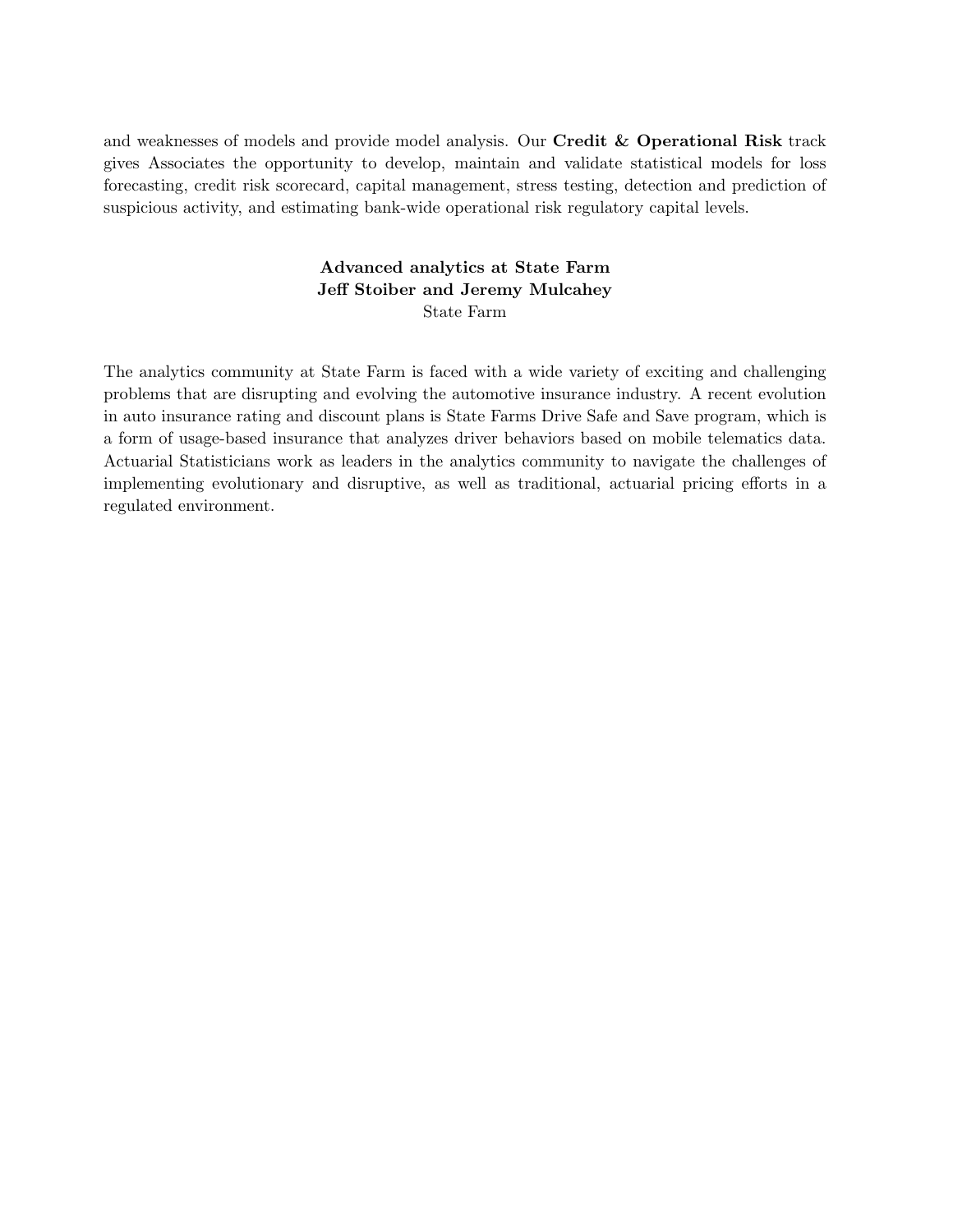and weaknesses of models and provide model analysis. Our Credit & Operational Risk track gives Associates the opportunity to develop, maintain and validate statistical models for loss forecasting, credit risk scorecard, capital management, stress testing, detection and prediction of suspicious activity, and estimating bank-wide operational risk regulatory capital levels.

#### Advanced analytics at State Farm Jeff Stoiber and Jeremy Mulcahey State Farm

The analytics community at State Farm is faced with a wide variety of exciting and challenging problems that are disrupting and evolving the automotive insurance industry. A recent evolution in auto insurance rating and discount plans is State Farms Drive Safe and Save program, which is a form of usage-based insurance that analyzes driver behaviors based on mobile telematics data. Actuarial Statisticians work as leaders in the analytics community to navigate the challenges of implementing evolutionary and disruptive, as well as traditional, actuarial pricing efforts in a regulated environment.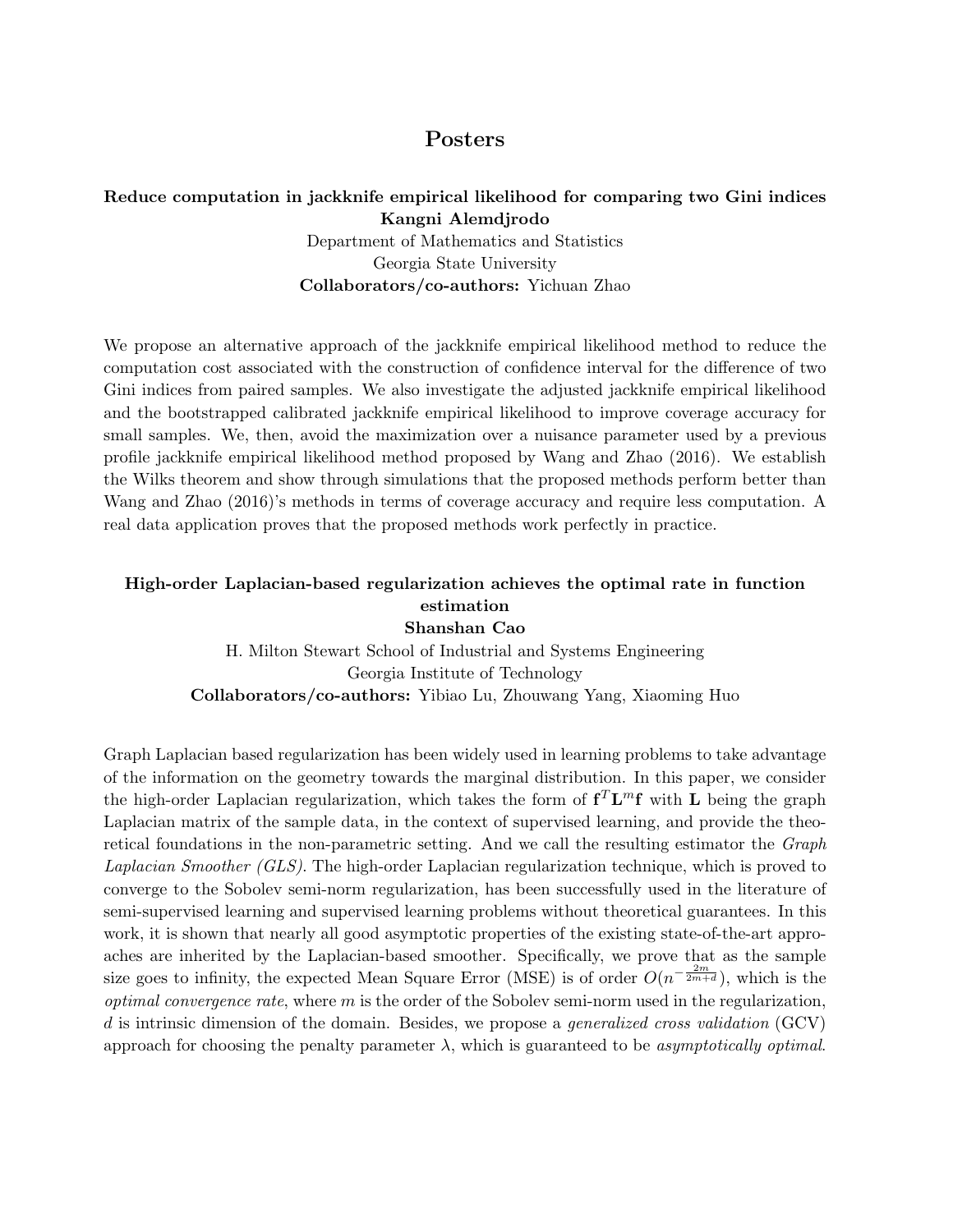## Posters

#### Reduce computation in jackknife empirical likelihood for comparing two Gini indices Kangni Alemdjrodo

Department of Mathematics and Statistics Georgia State University Collaborators/co-authors: Yichuan Zhao

We propose an alternative approach of the jackknife empirical likelihood method to reduce the computation cost associated with the construction of confidence interval for the difference of two Gini indices from paired samples. We also investigate the adjusted jackknife empirical likelihood and the bootstrapped calibrated jackknife empirical likelihood to improve coverage accuracy for small samples. We, then, avoid the maximization over a nuisance parameter used by a previous profile jackknife empirical likelihood method proposed by Wang and Zhao (2016). We establish the Wilks theorem and show through simulations that the proposed methods perform better than Wang and Zhao (2016)'s methods in terms of coverage accuracy and require less computation. A real data application proves that the proposed methods work perfectly in practice.

#### High-order Laplacian-based regularization achieves the optimal rate in function estimation Shanshan Cao

H. Milton Stewart School of Industrial and Systems Engineering Georgia Institute of Technology Collaborators/co-authors: Yibiao Lu, Zhouwang Yang, Xiaoming Huo

Graph Laplacian based regularization has been widely used in learning problems to take advantage of the information on the geometry towards the marginal distribution. In this paper, we consider the high-order Laplacian regularization, which takes the form of  $f^T\mathbf{L}^m f$  with  $\mathbf L$  being the graph Laplacian matrix of the sample data, in the context of supervised learning, and provide the theoretical foundations in the non-parametric setting. And we call the resulting estimator the Graph Laplacian Smoother (GLS). The high-order Laplacian regularization technique, which is proved to converge to the Sobolev semi-norm regularization, has been successfully used in the literature of semi-supervised learning and supervised learning problems without theoretical guarantees. In this work, it is shown that nearly all good asymptotic properties of the existing state-of-the-art approaches are inherited by the Laplacian-based smoother. Specifically, we prove that as the sample size goes to infinity, the expected Mean Square Error (MSE) is of order  $O(n^{-\frac{2m}{2m+d}})$ , which is the *optimal convergence rate*, where  $m$  is the order of the Sobolev semi-norm used in the regularization, d is intrinsic dimension of the domain. Besides, we propose a *generalized cross validation* (GCV) approach for choosing the penalty parameter  $\lambda$ , which is guaranteed to be *asymptotically optimal*.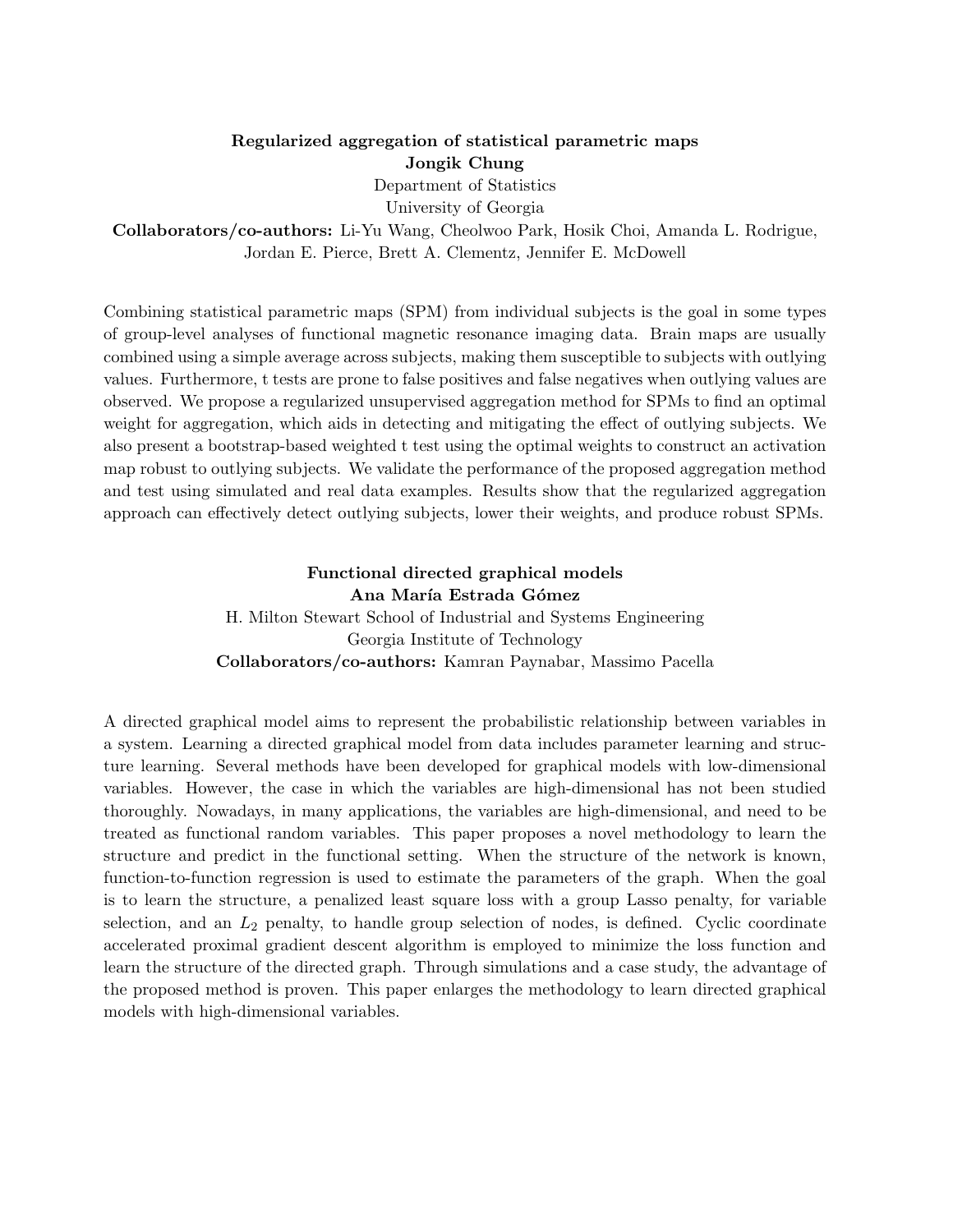## Regularized aggregation of statistical parametric maps Jongik Chung

Department of Statistics

University of Georgia

Collaborators/co-authors: Li-Yu Wang, Cheolwoo Park, Hosik Choi, Amanda L. Rodrigue, Jordan E. Pierce, Brett A. Clementz, Jennifer E. McDowell

Combining statistical parametric maps (SPM) from individual subjects is the goal in some types of group-level analyses of functional magnetic resonance imaging data. Brain maps are usually combined using a simple average across subjects, making them susceptible to subjects with outlying values. Furthermore, t tests are prone to false positives and false negatives when outlying values are observed. We propose a regularized unsupervised aggregation method for SPMs to find an optimal weight for aggregation, which aids in detecting and mitigating the effect of outlying subjects. We also present a bootstrap-based weighted t test using the optimal weights to construct an activation map robust to outlying subjects. We validate the performance of the proposed aggregation method and test using simulated and real data examples. Results show that the regularized aggregation approach can effectively detect outlying subjects, lower their weights, and produce robust SPMs.

#### Functional directed graphical models Ana María Estrada Gómez H. Milton Stewart School of Industrial and Systems Engineering

Georgia Institute of Technology Collaborators/co-authors: Kamran Paynabar, Massimo Pacella

A directed graphical model aims to represent the probabilistic relationship between variables in a system. Learning a directed graphical model from data includes parameter learning and structure learning. Several methods have been developed for graphical models with low-dimensional variables. However, the case in which the variables are high-dimensional has not been studied thoroughly. Nowadays, in many applications, the variables are high-dimensional, and need to be treated as functional random variables. This paper proposes a novel methodology to learn the structure and predict in the functional setting. When the structure of the network is known, function-to-function regression is used to estimate the parameters of the graph. When the goal is to learn the structure, a penalized least square loss with a group Lasso penalty, for variable selection, and an  $L_2$  penalty, to handle group selection of nodes, is defined. Cyclic coordinate accelerated proximal gradient descent algorithm is employed to minimize the loss function and learn the structure of the directed graph. Through simulations and a case study, the advantage of the proposed method is proven. This paper enlarges the methodology to learn directed graphical models with high-dimensional variables.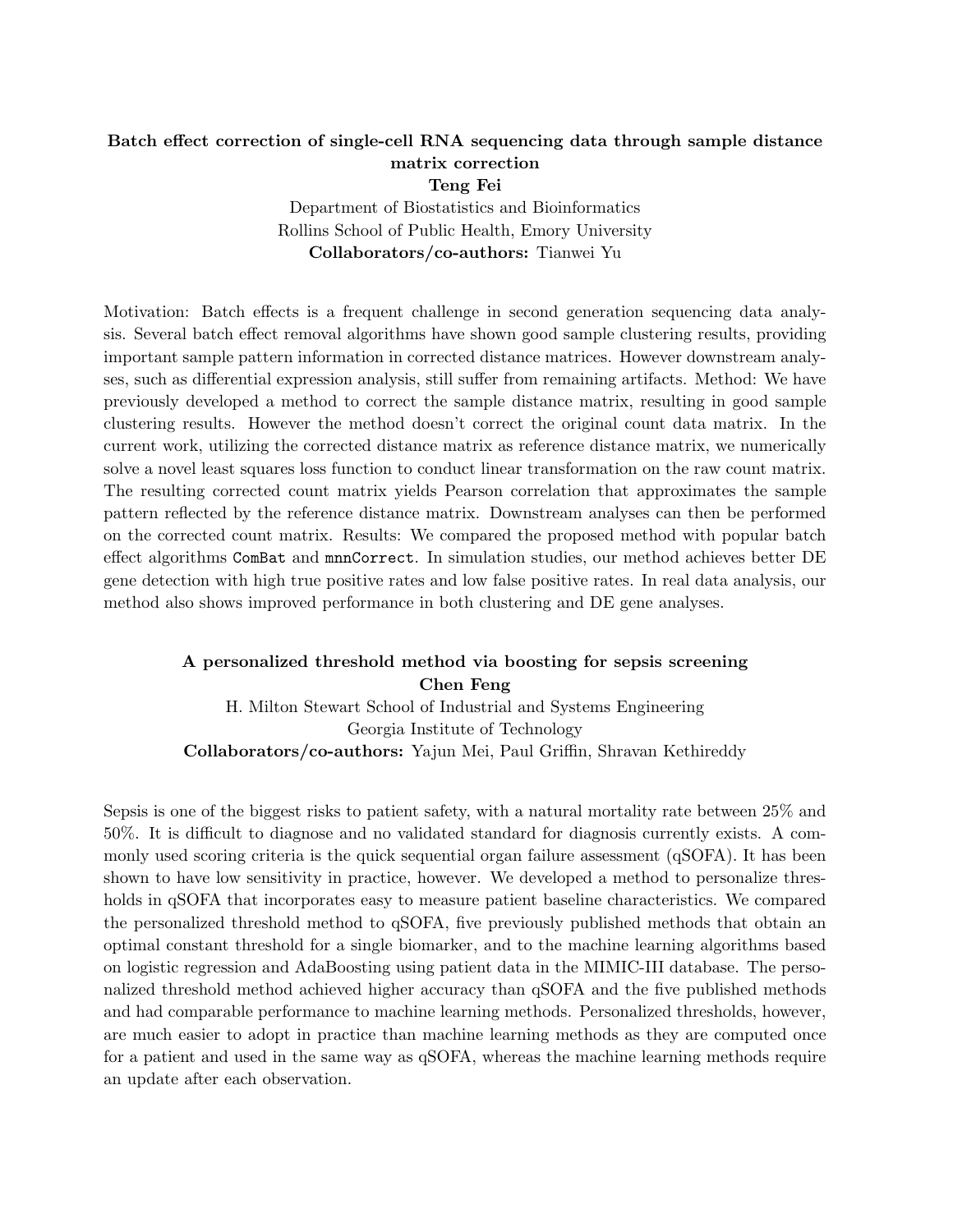# Batch effect correction of single-cell RNA sequencing data through sample distance matrix correction

Teng Fei

Department of Biostatistics and Bioinformatics Rollins School of Public Health, Emory University Collaborators/co-authors: Tianwei Yu

Motivation: Batch effects is a frequent challenge in second generation sequencing data analysis. Several batch effect removal algorithms have shown good sample clustering results, providing important sample pattern information in corrected distance matrices. However downstream analyses, such as differential expression analysis, still suffer from remaining artifacts. Method: We have previously developed a method to correct the sample distance matrix, resulting in good sample clustering results. However the method doesn't correct the original count data matrix. In the current work, utilizing the corrected distance matrix as reference distance matrix, we numerically solve a novel least squares loss function to conduct linear transformation on the raw count matrix. The resulting corrected count matrix yields Pearson correlation that approximates the sample pattern reflected by the reference distance matrix. Downstream analyses can then be performed on the corrected count matrix. Results: We compared the proposed method with popular batch effect algorithms ComBat and mnnCorrect. In simulation studies, our method achieves better DE gene detection with high true positive rates and low false positive rates. In real data analysis, our method also shows improved performance in both clustering and DE gene analyses.

## A personalized threshold method via boosting for sepsis screening Chen Feng

H. Milton Stewart School of Industrial and Systems Engineering Georgia Institute of Technology Collaborators/co-authors: Yajun Mei, Paul Griffin, Shravan Kethireddy

Sepsis is one of the biggest risks to patient safety, with a natural mortality rate between 25% and 50%. It is difficult to diagnose and no validated standard for diagnosis currently exists. A commonly used scoring criteria is the quick sequential organ failure assessment (qSOFA). It has been shown to have low sensitivity in practice, however. We developed a method to personalize thresholds in qSOFA that incorporates easy to measure patient baseline characteristics. We compared the personalized threshold method to qSOFA, five previously published methods that obtain an optimal constant threshold for a single biomarker, and to the machine learning algorithms based on logistic regression and AdaBoosting using patient data in the MIMIC-III database. The personalized threshold method achieved higher accuracy than qSOFA and the five published methods and had comparable performance to machine learning methods. Personalized thresholds, however, are much easier to adopt in practice than machine learning methods as they are computed once for a patient and used in the same way as qSOFA, whereas the machine learning methods require an update after each observation.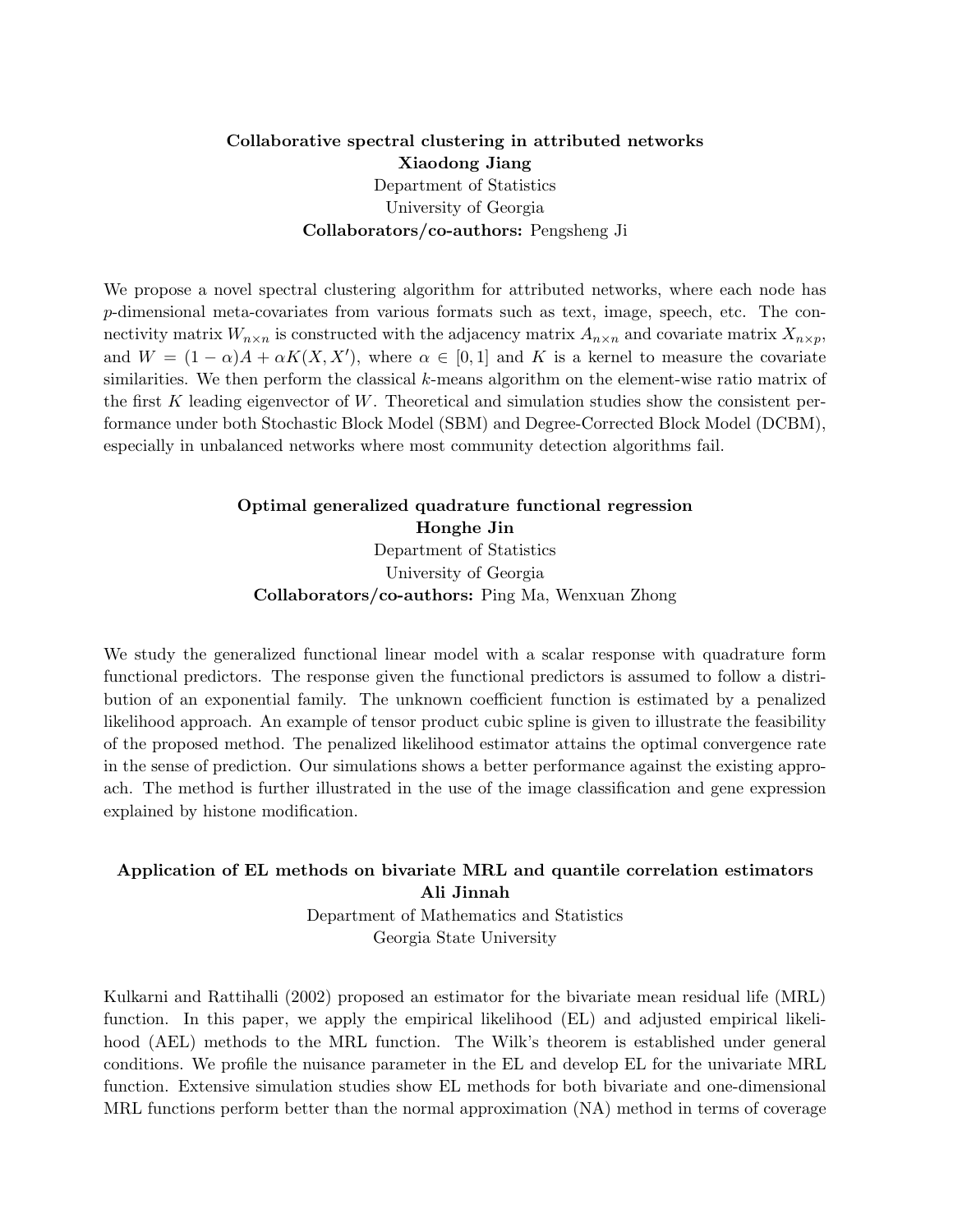#### Collaborative spectral clustering in attributed networks Xiaodong Jiang Department of Statistics University of Georgia Collaborators/co-authors: Pengsheng Ji

We propose a novel spectral clustering algorithm for attributed networks, where each node has p-dimensional meta-covariates from various formats such as text, image, speech, etc. The connectivity matrix  $W_{n\times n}$  is constructed with the adjacency matrix  $A_{n\times n}$  and covariate matrix  $X_{n\times p}$ , and  $W = (1 - \alpha)A + \alpha K(X, X')$ , where  $\alpha \in [0, 1]$  and K is a kernel to measure the covariate similarities. We then perform the classical k-means algorithm on the element-wise ratio matrix of the first  $K$  leading eigenvector of  $W$ . Theoretical and simulation studies show the consistent performance under both Stochastic Block Model (SBM) and Degree-Corrected Block Model (DCBM), especially in unbalanced networks where most community detection algorithms fail.

## Optimal generalized quadrature functional regression Honghe Jin Department of Statistics University of Georgia Collaborators/co-authors: Ping Ma, Wenxuan Zhong

We study the generalized functional linear model with a scalar response with quadrature form functional predictors. The response given the functional predictors is assumed to follow a distribution of an exponential family. The unknown coefficient function is estimated by a penalized likelihood approach. An example of tensor product cubic spline is given to illustrate the feasibility of the proposed method. The penalized likelihood estimator attains the optimal convergence rate in the sense of prediction. Our simulations shows a better performance against the existing approach. The method is further illustrated in the use of the image classification and gene expression explained by histone modification.

#### Application of EL methods on bivariate MRL and quantile correlation estimators Ali Jinnah

Department of Mathematics and Statistics Georgia State University

Kulkarni and Rattihalli (2002) proposed an estimator for the bivariate mean residual life (MRL) function. In this paper, we apply the empirical likelihood (EL) and adjusted empirical likelihood (AEL) methods to the MRL function. The Wilk's theorem is established under general conditions. We profile the nuisance parameter in the EL and develop EL for the univariate MRL function. Extensive simulation studies show EL methods for both bivariate and one-dimensional MRL functions perform better than the normal approximation (NA) method in terms of coverage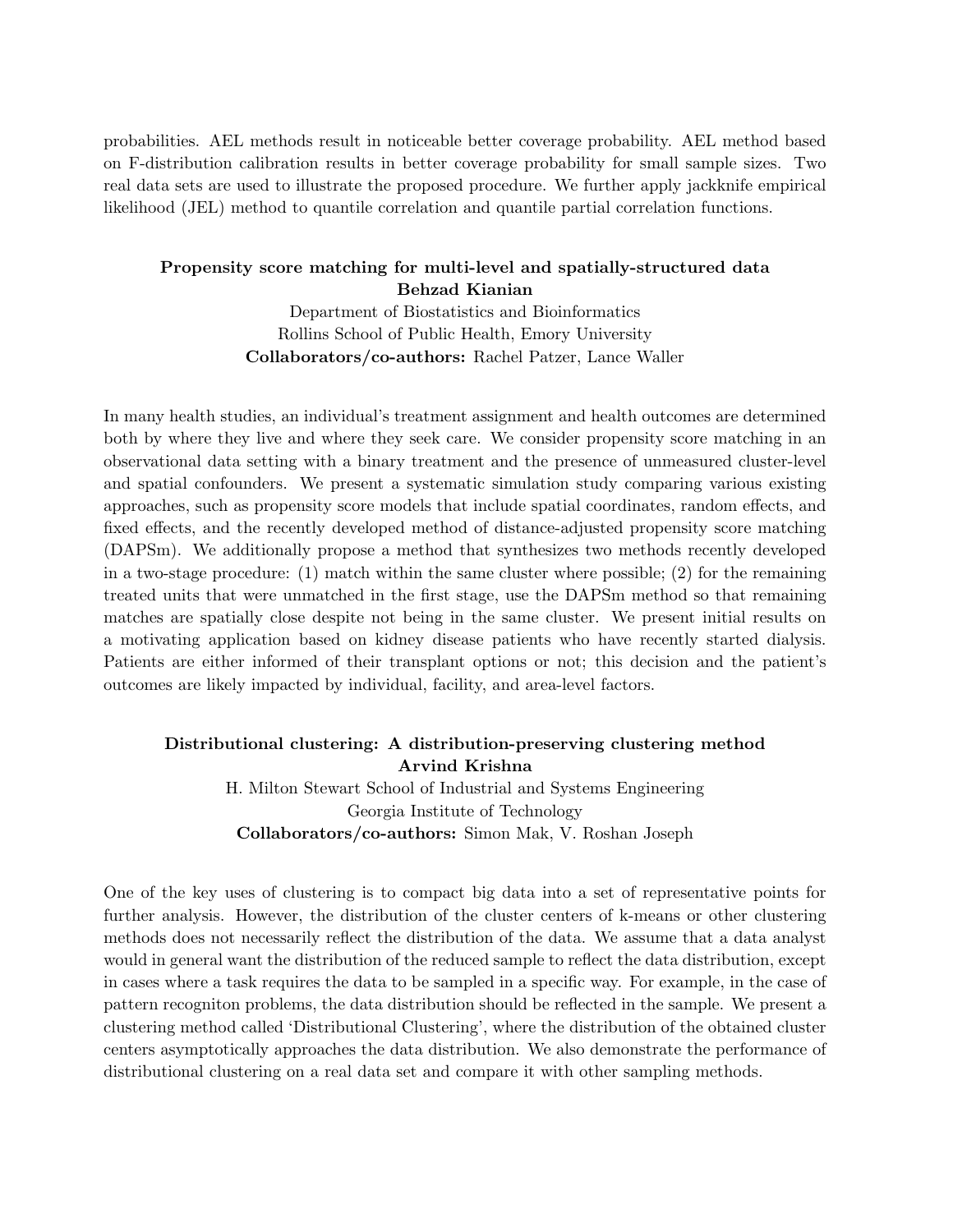probabilities. AEL methods result in noticeable better coverage probability. AEL method based on F-distribution calibration results in better coverage probability for small sample sizes. Two real data sets are used to illustrate the proposed procedure. We further apply jackknife empirical likelihood (JEL) method to quantile correlation and quantile partial correlation functions.

#### Propensity score matching for multi-level and spatially-structured data Behzad Kianian

Department of Biostatistics and Bioinformatics Rollins School of Public Health, Emory University Collaborators/co-authors: Rachel Patzer, Lance Waller

In many health studies, an individual's treatment assignment and health outcomes are determined both by where they live and where they seek care. We consider propensity score matching in an observational data setting with a binary treatment and the presence of unmeasured cluster-level and spatial confounders. We present a systematic simulation study comparing various existing approaches, such as propensity score models that include spatial coordinates, random effects, and fixed effects, and the recently developed method of distance-adjusted propensity score matching (DAPSm). We additionally propose a method that synthesizes two methods recently developed in a two-stage procedure: (1) match within the same cluster where possible; (2) for the remaining treated units that were unmatched in the first stage, use the DAPSm method so that remaining matches are spatially close despite not being in the same cluster. We present initial results on a motivating application based on kidney disease patients who have recently started dialysis. Patients are either informed of their transplant options or not; this decision and the patient's outcomes are likely impacted by individual, facility, and area-level factors.

# Distributional clustering: A distribution-preserving clustering method Arvind Krishna

H. Milton Stewart School of Industrial and Systems Engineering Georgia Institute of Technology Collaborators/co-authors: Simon Mak, V. Roshan Joseph

One of the key uses of clustering is to compact big data into a set of representative points for further analysis. However, the distribution of the cluster centers of k-means or other clustering methods does not necessarily reflect the distribution of the data. We assume that a data analyst would in general want the distribution of the reduced sample to reflect the data distribution, except in cases where a task requires the data to be sampled in a specific way. For example, in the case of pattern recogniton problems, the data distribution should be reflected in the sample. We present a clustering method called 'Distributional Clustering', where the distribution of the obtained cluster centers asymptotically approaches the data distribution. We also demonstrate the performance of distributional clustering on a real data set and compare it with other sampling methods.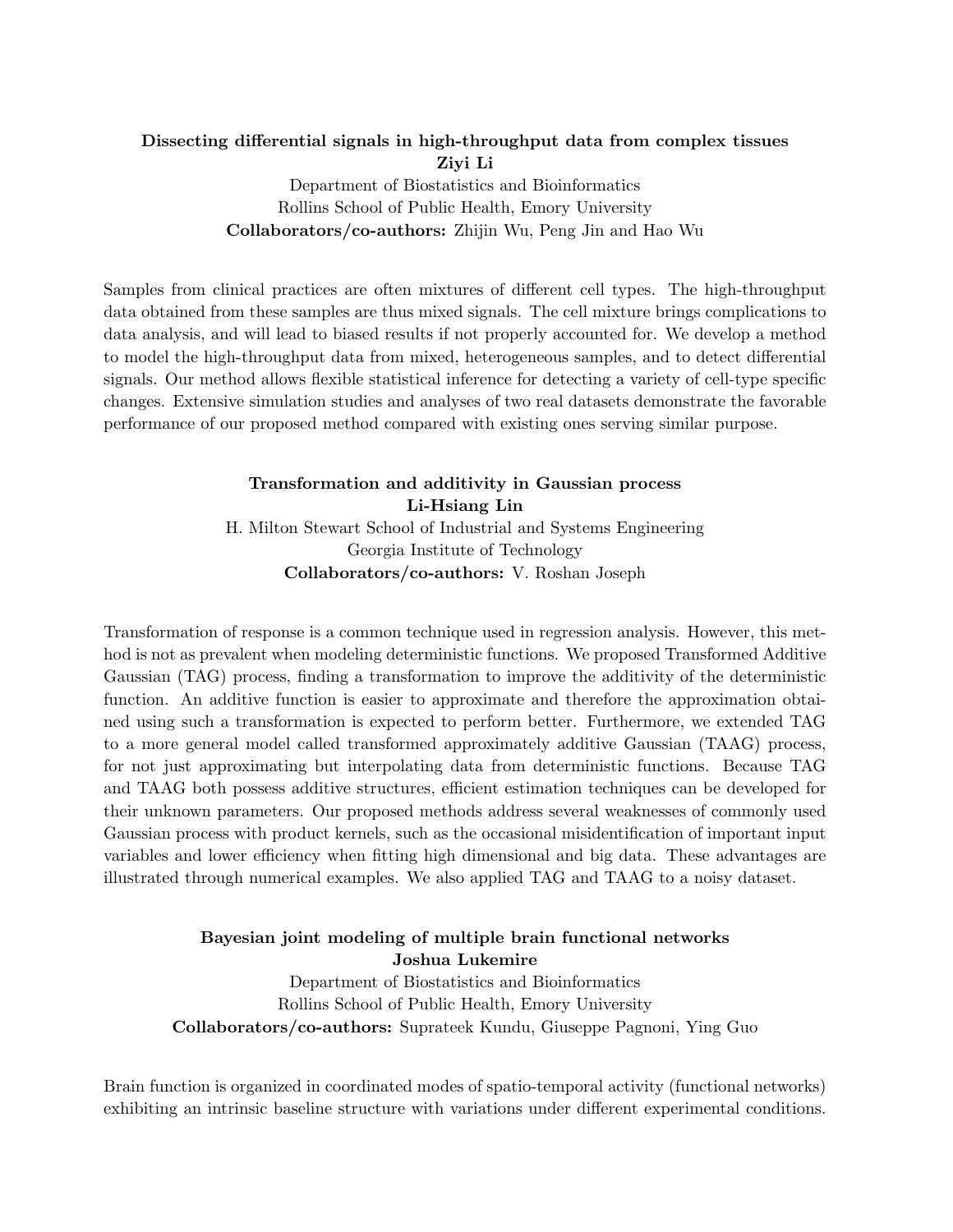# Dissecting differential signals in high-throughput data from complex tissues Ziyi Li Department of Biostatistics and Bioinformatics

Rollins School of Public Health, Emory University Collaborators/co-authors: Zhijin Wu, Peng Jin and Hao Wu

Samples from clinical practices are often mixtures of different cell types. The high-throughput data obtained from these samples are thus mixed signals. The cell mixture brings complications to data analysis, and will lead to biased results if not properly accounted for. We develop a method to model the high-throughput data from mixed, heterogeneous samples, and to detect differential signals. Our method allows flexible statistical inference for detecting a variety of cell-type specific changes. Extensive simulation studies and analyses of two real datasets demonstrate the favorable performance of our proposed method compared with existing ones serving similar purpose.

## Transformation and additivity in Gaussian process Li-Hsiang Lin H. Milton Stewart School of Industrial and Systems Engineering Georgia Institute of Technology Collaborators/co-authors: V. Roshan Joseph

Transformation of response is a common technique used in regression analysis. However, this method is not as prevalent when modeling deterministic functions. We proposed Transformed Additive Gaussian (TAG) process, finding a transformation to improve the additivity of the deterministic function. An additive function is easier to approximate and therefore the approximation obtained using such a transformation is expected to perform better. Furthermore, we extended TAG to a more general model called transformed approximately additive Gaussian (TAAG) process, for not just approximating but interpolating data from deterministic functions. Because TAG and TAAG both possess additive structures, efficient estimation techniques can be developed for their unknown parameters. Our proposed methods address several weaknesses of commonly used Gaussian process with product kernels, such as the occasional misidentification of important input variables and lower efficiency when fitting high dimensional and big data. These advantages are illustrated through numerical examples. We also applied TAG and TAAG to a noisy dataset.

## Bayesian joint modeling of multiple brain functional networks Joshua Lukemire

Department of Biostatistics and Bioinformatics Rollins School of Public Health, Emory University Collaborators/co-authors: Suprateek Kundu, Giuseppe Pagnoni, Ying Guo

Brain function is organized in coordinated modes of spatio-temporal activity (functional networks) exhibiting an intrinsic baseline structure with variations under different experimental conditions.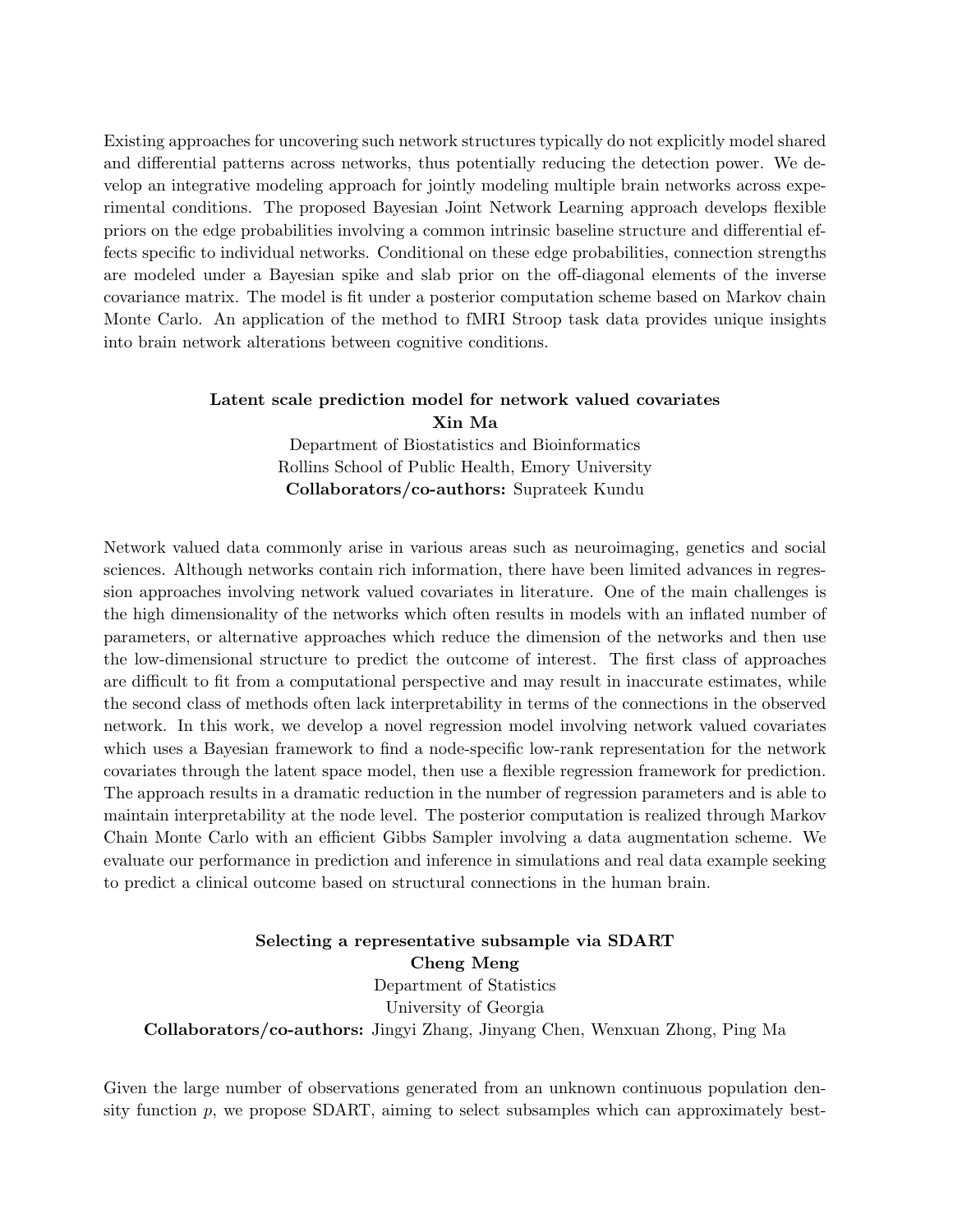Existing approaches for uncovering such network structures typically do not explicitly model shared and differential patterns across networks, thus potentially reducing the detection power. We develop an integrative modeling approach for jointly modeling multiple brain networks across experimental conditions. The proposed Bayesian Joint Network Learning approach develops flexible priors on the edge probabilities involving a common intrinsic baseline structure and differential effects specific to individual networks. Conditional on these edge probabilities, connection strengths are modeled under a Bayesian spike and slab prior on the off-diagonal elements of the inverse covariance matrix. The model is fit under a posterior computation scheme based on Markov chain Monte Carlo. An application of the method to fMRI Stroop task data provides unique insights into brain network alterations between cognitive conditions.

#### Latent scale prediction model for network valued covariates Xin Ma

Department of Biostatistics and Bioinformatics Rollins School of Public Health, Emory University Collaborators/co-authors: Suprateek Kundu

Network valued data commonly arise in various areas such as neuroimaging, genetics and social sciences. Although networks contain rich information, there have been limited advances in regression approaches involving network valued covariates in literature. One of the main challenges is the high dimensionality of the networks which often results in models with an inflated number of parameters, or alternative approaches which reduce the dimension of the networks and then use the low-dimensional structure to predict the outcome of interest. The first class of approaches are difficult to fit from a computational perspective and may result in inaccurate estimates, while the second class of methods often lack interpretability in terms of the connections in the observed network. In this work, we develop a novel regression model involving network valued covariates which uses a Bayesian framework to find a node-specific low-rank representation for the network covariates through the latent space model, then use a flexible regression framework for prediction. The approach results in a dramatic reduction in the number of regression parameters and is able to maintain interpretability at the node level. The posterior computation is realized through Markov Chain Monte Carlo with an efficient Gibbs Sampler involving a data augmentation scheme. We evaluate our performance in prediction and inference in simulations and real data example seeking to predict a clinical outcome based on structural connections in the human brain.

Selecting a representative subsample via SDART Cheng Meng Department of Statistics University of Georgia Collaborators/co-authors: Jingyi Zhang, Jinyang Chen, Wenxuan Zhong, Ping Ma

Given the large number of observations generated from an unknown continuous population density function  $p$ , we propose SDART, aiming to select subsamples which can approximately best-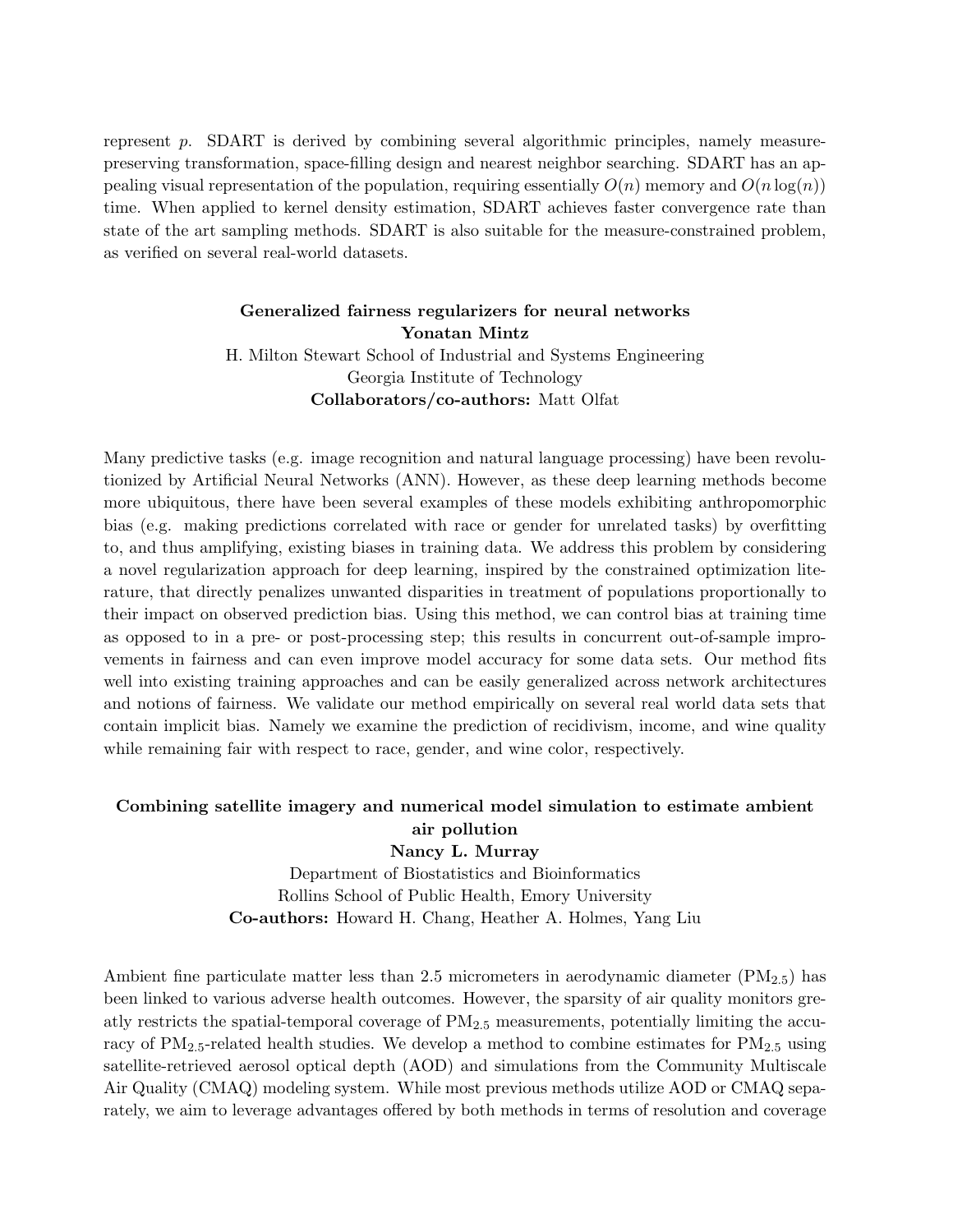represent p. SDART is derived by combining several algorithmic principles, namely measurepreserving transformation, space-filling design and nearest neighbor searching. SDART has an appealing visual representation of the population, requiring essentially  $O(n)$  memory and  $O(n \log(n))$ time. When applied to kernel density estimation, SDART achieves faster convergence rate than state of the art sampling methods. SDART is also suitable for the measure-constrained problem, as verified on several real-world datasets.

## Generalized fairness regularizers for neural networks Yonatan Mintz H. Milton Stewart School of Industrial and Systems Engineering Georgia Institute of Technology Collaborators/co-authors: Matt Olfat

Many predictive tasks (e.g. image recognition and natural language processing) have been revolutionized by Artificial Neural Networks (ANN). However, as these deep learning methods become more ubiquitous, there have been several examples of these models exhibiting anthropomorphic bias (e.g. making predictions correlated with race or gender for unrelated tasks) by overfitting to, and thus amplifying, existing biases in training data. We address this problem by considering a novel regularization approach for deep learning, inspired by the constrained optimization literature, that directly penalizes unwanted disparities in treatment of populations proportionally to their impact on observed prediction bias. Using this method, we can control bias at training time as opposed to in a pre- or post-processing step; this results in concurrent out-of-sample improvements in fairness and can even improve model accuracy for some data sets. Our method fits well into existing training approaches and can be easily generalized across network architectures and notions of fairness. We validate our method empirically on several real world data sets that contain implicit bias. Namely we examine the prediction of recidivism, income, and wine quality while remaining fair with respect to race, gender, and wine color, respectively.

#### Combining satellite imagery and numerical model simulation to estimate ambient air pollution

Nancy L. Murray

Department of Biostatistics and Bioinformatics Rollins School of Public Health, Emory University Co-authors: Howard H. Chang, Heather A. Holmes, Yang Liu

Ambient fine particulate matter less than 2.5 micrometers in aerodynamic diameter  $(PM_{2.5})$  has been linked to various adverse health outcomes. However, the sparsity of air quality monitors greatly restricts the spatial-temporal coverage of PM2.<sup>5</sup> measurements, potentially limiting the accuracy of  $PM_{2.5}$ -related health studies. We develop a method to combine estimates for  $PM_{2.5}$  using satellite-retrieved aerosol optical depth (AOD) and simulations from the Community Multiscale Air Quality (CMAQ) modeling system. While most previous methods utilize AOD or CMAQ separately, we aim to leverage advantages offered by both methods in terms of resolution and coverage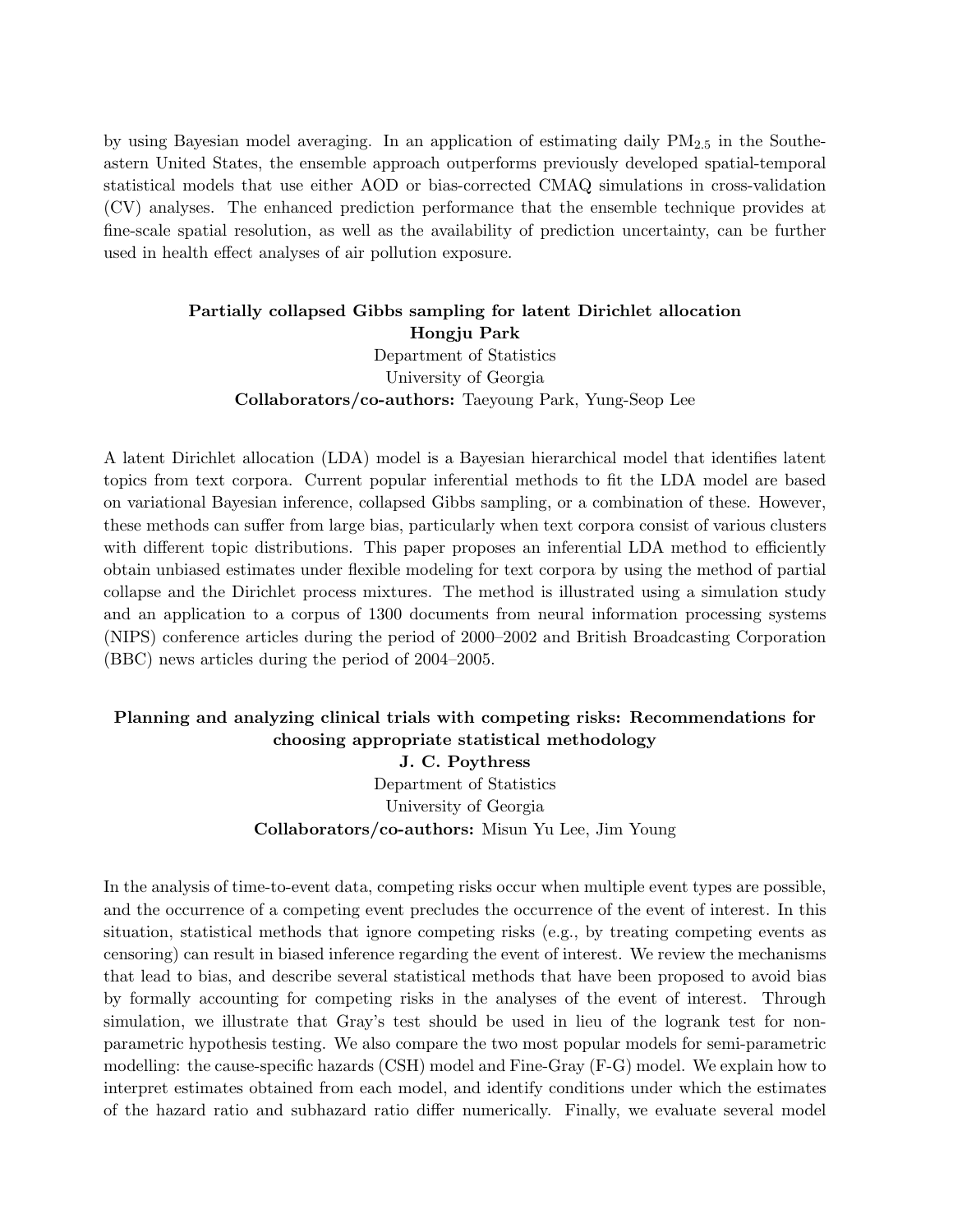by using Bayesian model averaging. In an application of estimating daily  $PM_{2.5}$  in the Southeastern United States, the ensemble approach outperforms previously developed spatial-temporal statistical models that use either AOD or bias-corrected CMAQ simulations in cross-validation (CV) analyses. The enhanced prediction performance that the ensemble technique provides at fine-scale spatial resolution, as well as the availability of prediction uncertainty, can be further used in health effect analyses of air pollution exposure.

# Partially collapsed Gibbs sampling for latent Dirichlet allocation Hongju Park Department of Statistics University of Georgia Collaborators/co-authors: Taeyoung Park, Yung-Seop Lee

A latent Dirichlet allocation (LDA) model is a Bayesian hierarchical model that identifies latent topics from text corpora. Current popular inferential methods to fit the LDA model are based on variational Bayesian inference, collapsed Gibbs sampling, or a combination of these. However, these methods can suffer from large bias, particularly when text corpora consist of various clusters with different topic distributions. This paper proposes an inferential LDA method to efficiently obtain unbiased estimates under flexible modeling for text corpora by using the method of partial collapse and the Dirichlet process mixtures. The method is illustrated using a simulation study and an application to a corpus of 1300 documents from neural information processing systems (NIPS) conference articles during the period of 2000–2002 and British Broadcasting Corporation (BBC) news articles during the period of 2004–2005.

# Planning and analyzing clinical trials with competing risks: Recommendations for choosing appropriate statistical methodology J. C. Poythress

Department of Statistics University of Georgia Collaborators/co-authors: Misun Yu Lee, Jim Young

In the analysis of time-to-event data, competing risks occur when multiple event types are possible, and the occurrence of a competing event precludes the occurrence of the event of interest. In this situation, statistical methods that ignore competing risks (e.g., by treating competing events as censoring) can result in biased inference regarding the event of interest. We review the mechanisms that lead to bias, and describe several statistical methods that have been proposed to avoid bias by formally accounting for competing risks in the analyses of the event of interest. Through simulation, we illustrate that Gray's test should be used in lieu of the logrank test for nonparametric hypothesis testing. We also compare the two most popular models for semi-parametric modelling: the cause-specific hazards (CSH) model and Fine-Gray (F-G) model. We explain how to interpret estimates obtained from each model, and identify conditions under which the estimates of the hazard ratio and subhazard ratio differ numerically. Finally, we evaluate several model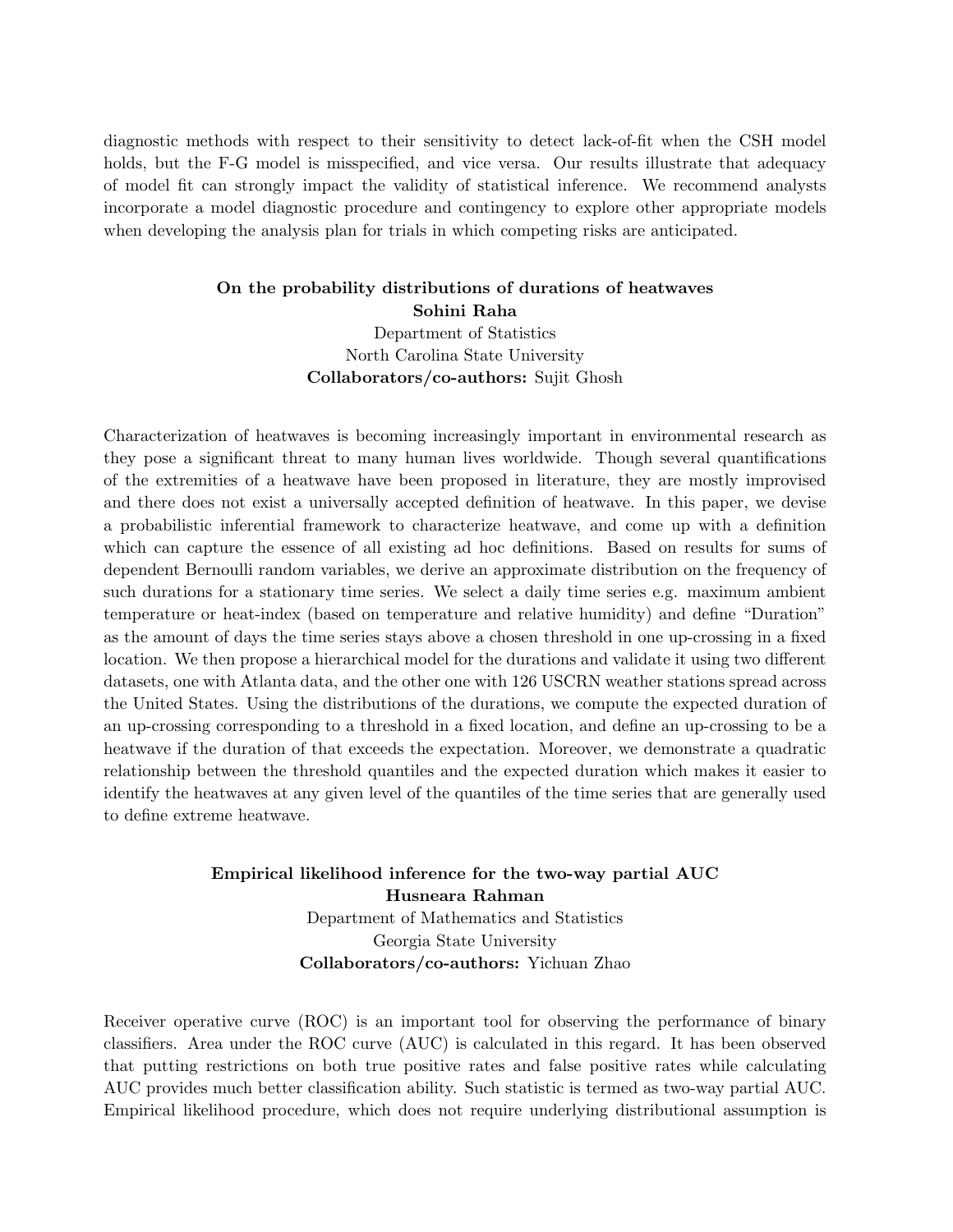diagnostic methods with respect to their sensitivity to detect lack-of-fit when the CSH model holds, but the F-G model is misspecified, and vice versa. Our results illustrate that adequacy of model fit can strongly impact the validity of statistical inference. We recommend analysts incorporate a model diagnostic procedure and contingency to explore other appropriate models when developing the analysis plan for trials in which competing risks are anticipated.

## On the probability distributions of durations of heatwaves Sohini Raha

Department of Statistics North Carolina State University Collaborators/co-authors: Sujit Ghosh

Characterization of heatwaves is becoming increasingly important in environmental research as they pose a significant threat to many human lives worldwide. Though several quantifications of the extremities of a heatwave have been proposed in literature, they are mostly improvised and there does not exist a universally accepted definition of heatwave. In this paper, we devise a probabilistic inferential framework to characterize heatwave, and come up with a definition which can capture the essence of all existing ad hoc definitions. Based on results for sums of dependent Bernoulli random variables, we derive an approximate distribution on the frequency of such durations for a stationary time series. We select a daily time series e.g. maximum ambient temperature or heat-index (based on temperature and relative humidity) and define "Duration" as the amount of days the time series stays above a chosen threshold in one up-crossing in a fixed location. We then propose a hierarchical model for the durations and validate it using two different datasets, one with Atlanta data, and the other one with 126 USCRN weather stations spread across the United States. Using the distributions of the durations, we compute the expected duration of an up-crossing corresponding to a threshold in a fixed location, and define an up-crossing to be a heatwave if the duration of that exceeds the expectation. Moreover, we demonstrate a quadratic relationship between the threshold quantiles and the expected duration which makes it easier to identify the heatwaves at any given level of the quantiles of the time series that are generally used to define extreme heatwave.

## Empirical likelihood inference for the two-way partial AUC Husneara Rahman Department of Mathematics and Statistics Georgia State University Collaborators/co-authors: Yichuan Zhao

Receiver operative curve (ROC) is an important tool for observing the performance of binary classifiers. Area under the ROC curve (AUC) is calculated in this regard. It has been observed that putting restrictions on both true positive rates and false positive rates while calculating AUC provides much better classification ability. Such statistic is termed as two-way partial AUC. Empirical likelihood procedure, which does not require underlying distributional assumption is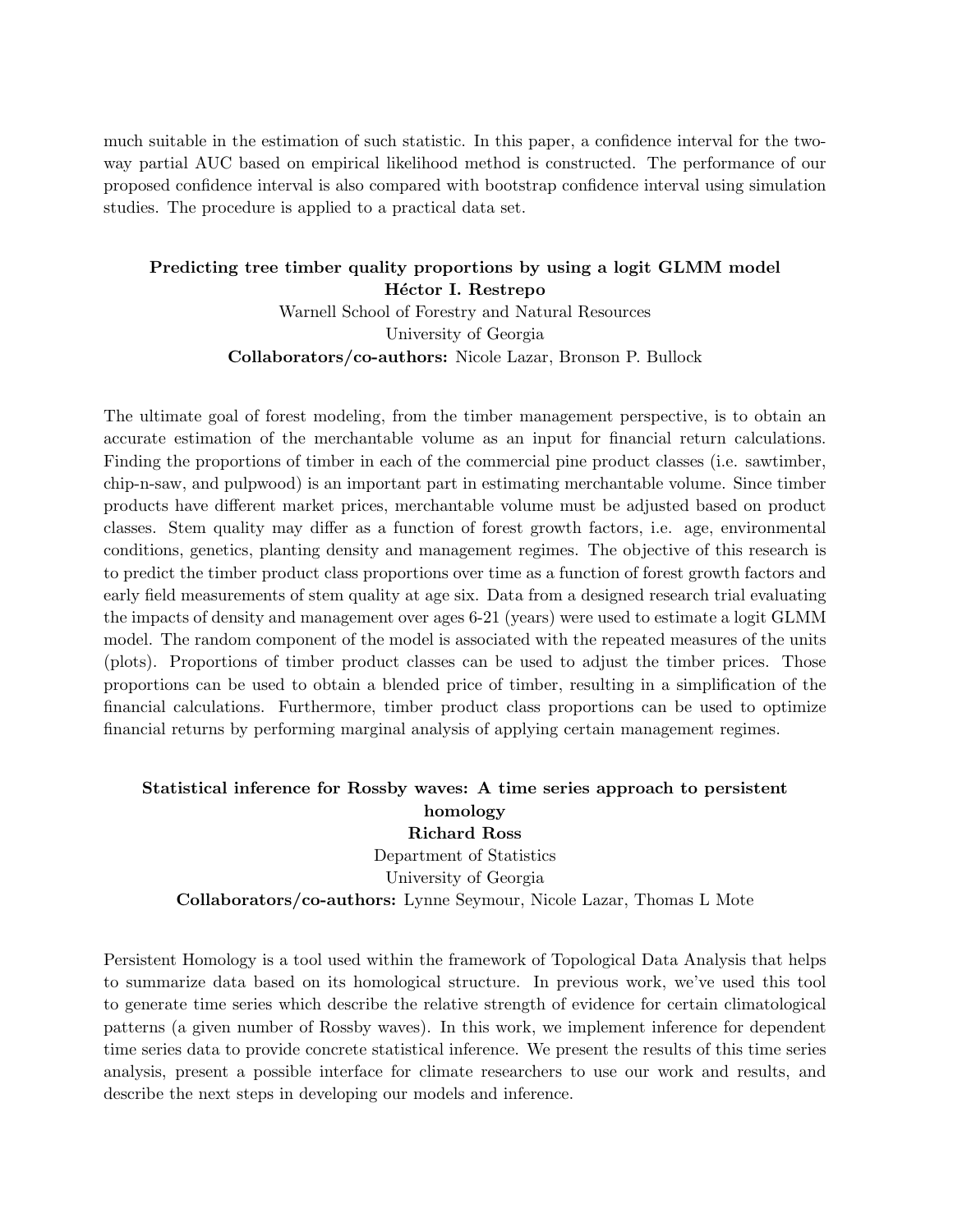much suitable in the estimation of such statistic. In this paper, a confidence interval for the twoway partial AUC based on empirical likelihood method is constructed. The performance of our proposed confidence interval is also compared with bootstrap confidence interval using simulation studies. The procedure is applied to a practical data set.

#### Predicting tree timber quality proportions by using a logit GLMM model Héctor I. Restrepo

Warnell School of Forestry and Natural Resources University of Georgia Collaborators/co-authors: Nicole Lazar, Bronson P. Bullock

The ultimate goal of forest modeling, from the timber management perspective, is to obtain an accurate estimation of the merchantable volume as an input for financial return calculations. Finding the proportions of timber in each of the commercial pine product classes (i.e. sawtimber, chip-n-saw, and pulpwood) is an important part in estimating merchantable volume. Since timber products have different market prices, merchantable volume must be adjusted based on product classes. Stem quality may differ as a function of forest growth factors, i.e. age, environmental conditions, genetics, planting density and management regimes. The objective of this research is to predict the timber product class proportions over time as a function of forest growth factors and early field measurements of stem quality at age six. Data from a designed research trial evaluating the impacts of density and management over ages 6-21 (years) were used to estimate a logit GLMM model. The random component of the model is associated with the repeated measures of the units (plots). Proportions of timber product classes can be used to adjust the timber prices. Those proportions can be used to obtain a blended price of timber, resulting in a simplification of the financial calculations. Furthermore, timber product class proportions can be used to optimize financial returns by performing marginal analysis of applying certain management regimes.

#### Statistical inference for Rossby waves: A time series approach to persistent homology Richard Ross

Department of Statistics University of Georgia Collaborators/co-authors: Lynne Seymour, Nicole Lazar, Thomas L Mote

Persistent Homology is a tool used within the framework of Topological Data Analysis that helps to summarize data based on its homological structure. In previous work, we've used this tool to generate time series which describe the relative strength of evidence for certain climatological patterns (a given number of Rossby waves). In this work, we implement inference for dependent time series data to provide concrete statistical inference. We present the results of this time series analysis, present a possible interface for climate researchers to use our work and results, and describe the next steps in developing our models and inference.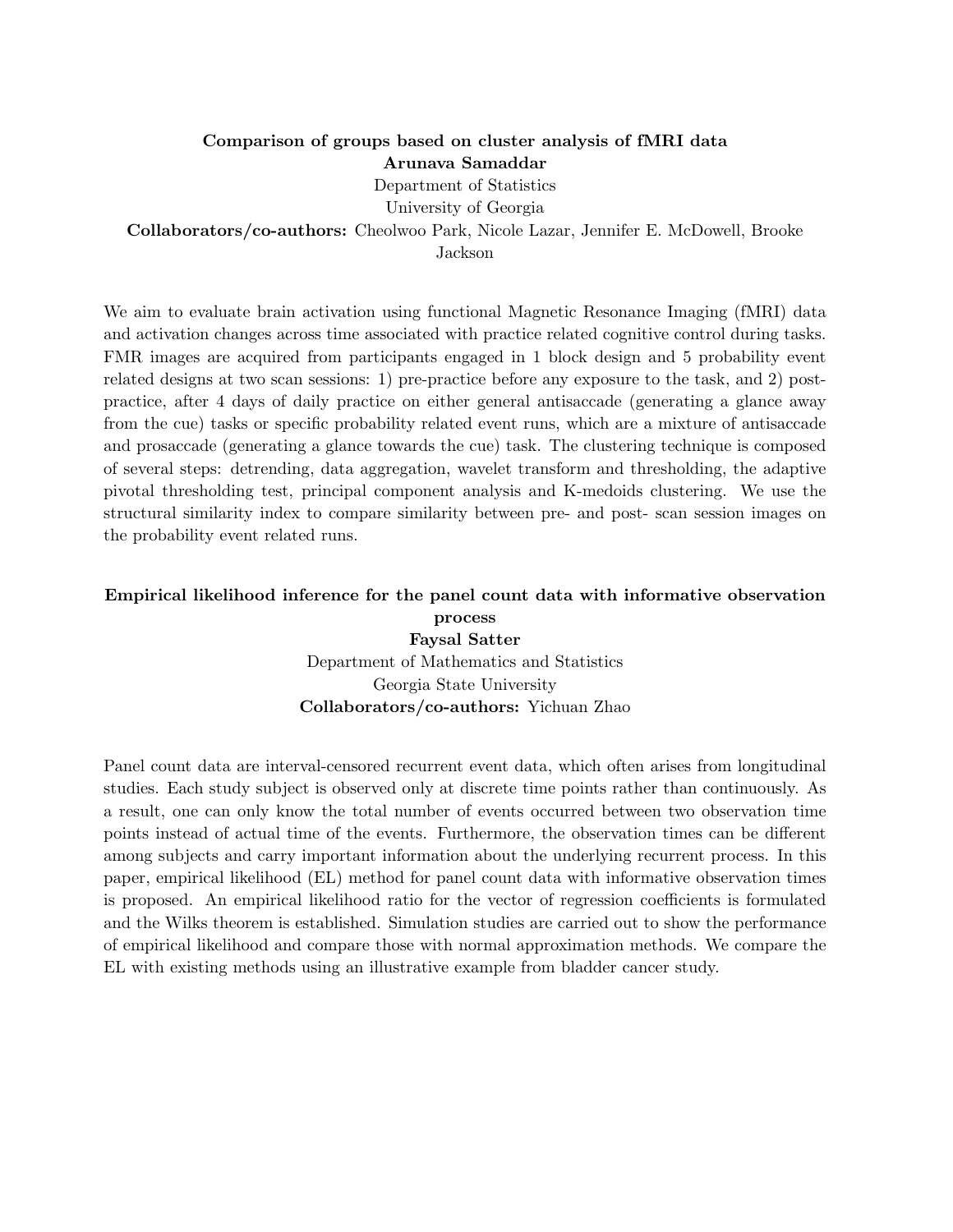## Comparison of groups based on cluster analysis of fMRI data Arunava Samaddar Department of Statistics University of Georgia

Collaborators/co-authors: Cheolwoo Park, Nicole Lazar, Jennifer E. McDowell, Brooke

Jackson

We aim to evaluate brain activation using functional Magnetic Resonance Imaging (fMRI) data and activation changes across time associated with practice related cognitive control during tasks. FMR images are acquired from participants engaged in 1 block design and 5 probability event related designs at two scan sessions: 1) pre-practice before any exposure to the task, and 2) postpractice, after 4 days of daily practice on either general antisaccade (generating a glance away from the cue) tasks or specific probability related event runs, which are a mixture of antisaccade and prosaccade (generating a glance towards the cue) task. The clustering technique is composed of several steps: detrending, data aggregation, wavelet transform and thresholding, the adaptive pivotal thresholding test, principal component analysis and K-medoids clustering. We use the structural similarity index to compare similarity between pre- and post- scan session images on the probability event related runs.

## Empirical likelihood inference for the panel count data with informative observation process Faysal Satter

Department of Mathematics and Statistics Georgia State University Collaborators/co-authors: Yichuan Zhao

Panel count data are interval-censored recurrent event data, which often arises from longitudinal studies. Each study subject is observed only at discrete time points rather than continuously. As a result, one can only know the total number of events occurred between two observation time points instead of actual time of the events. Furthermore, the observation times can be different among subjects and carry important information about the underlying recurrent process. In this paper, empirical likelihood (EL) method for panel count data with informative observation times is proposed. An empirical likelihood ratio for the vector of regression coefficients is formulated and the Wilks theorem is established. Simulation studies are carried out to show the performance of empirical likelihood and compare those with normal approximation methods. We compare the EL with existing methods using an illustrative example from bladder cancer study.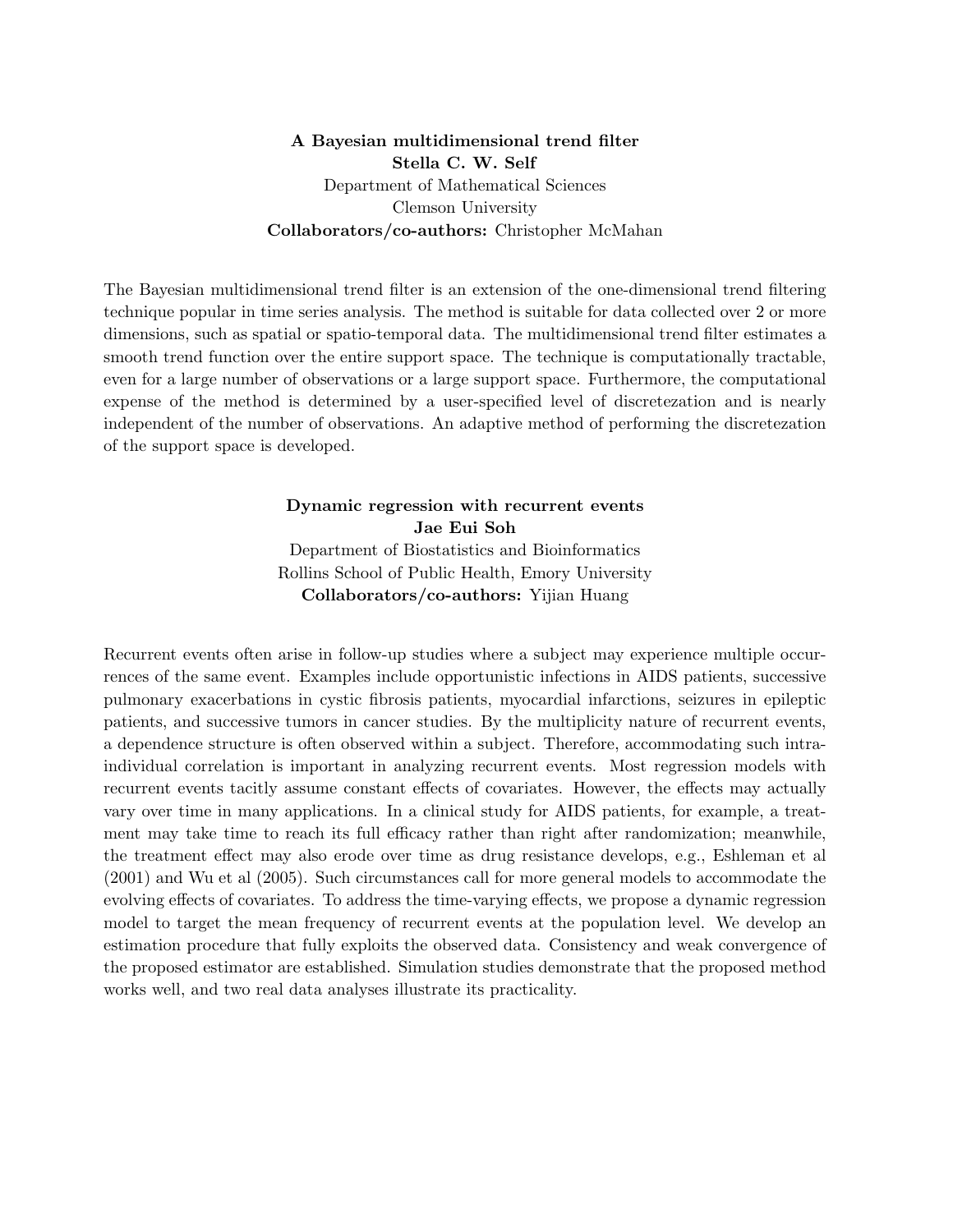A Bayesian multidimensional trend filter Stella C. W. Self Department of Mathematical Sciences Clemson University Collaborators/co-authors: Christopher McMahan

The Bayesian multidimensional trend filter is an extension of the one-dimensional trend filtering technique popular in time series analysis. The method is suitable for data collected over 2 or more dimensions, such as spatial or spatio-temporal data. The multidimensional trend filter estimates a smooth trend function over the entire support space. The technique is computationally tractable, even for a large number of observations or a large support space. Furthermore, the computational expense of the method is determined by a user-specified level of discretezation and is nearly independent of the number of observations. An adaptive method of performing the discretezation of the support space is developed.

#### Dynamic regression with recurrent events Jae Eui Soh Department of Biostatistics and Bioinformatics Rollins School of Public Health, Emory University Collaborators/co-authors: Yijian Huang

Recurrent events often arise in follow-up studies where a subject may experience multiple occurrences of the same event. Examples include opportunistic infections in AIDS patients, successive pulmonary exacerbations in cystic fibrosis patients, myocardial infarctions, seizures in epileptic patients, and successive tumors in cancer studies. By the multiplicity nature of recurrent events, a dependence structure is often observed within a subject. Therefore, accommodating such intraindividual correlation is important in analyzing recurrent events. Most regression models with recurrent events tacitly assume constant effects of covariates. However, the effects may actually vary over time in many applications. In a clinical study for AIDS patients, for example, a treatment may take time to reach its full efficacy rather than right after randomization; meanwhile, the treatment effect may also erode over time as drug resistance develops, e.g., Eshleman et al (2001) and Wu et al (2005). Such circumstances call for more general models to accommodate the evolving effects of covariates. To address the time-varying effects, we propose a dynamic regression model to target the mean frequency of recurrent events at the population level. We develop an estimation procedure that fully exploits the observed data. Consistency and weak convergence of the proposed estimator are established. Simulation studies demonstrate that the proposed method works well, and two real data analyses illustrate its practicality.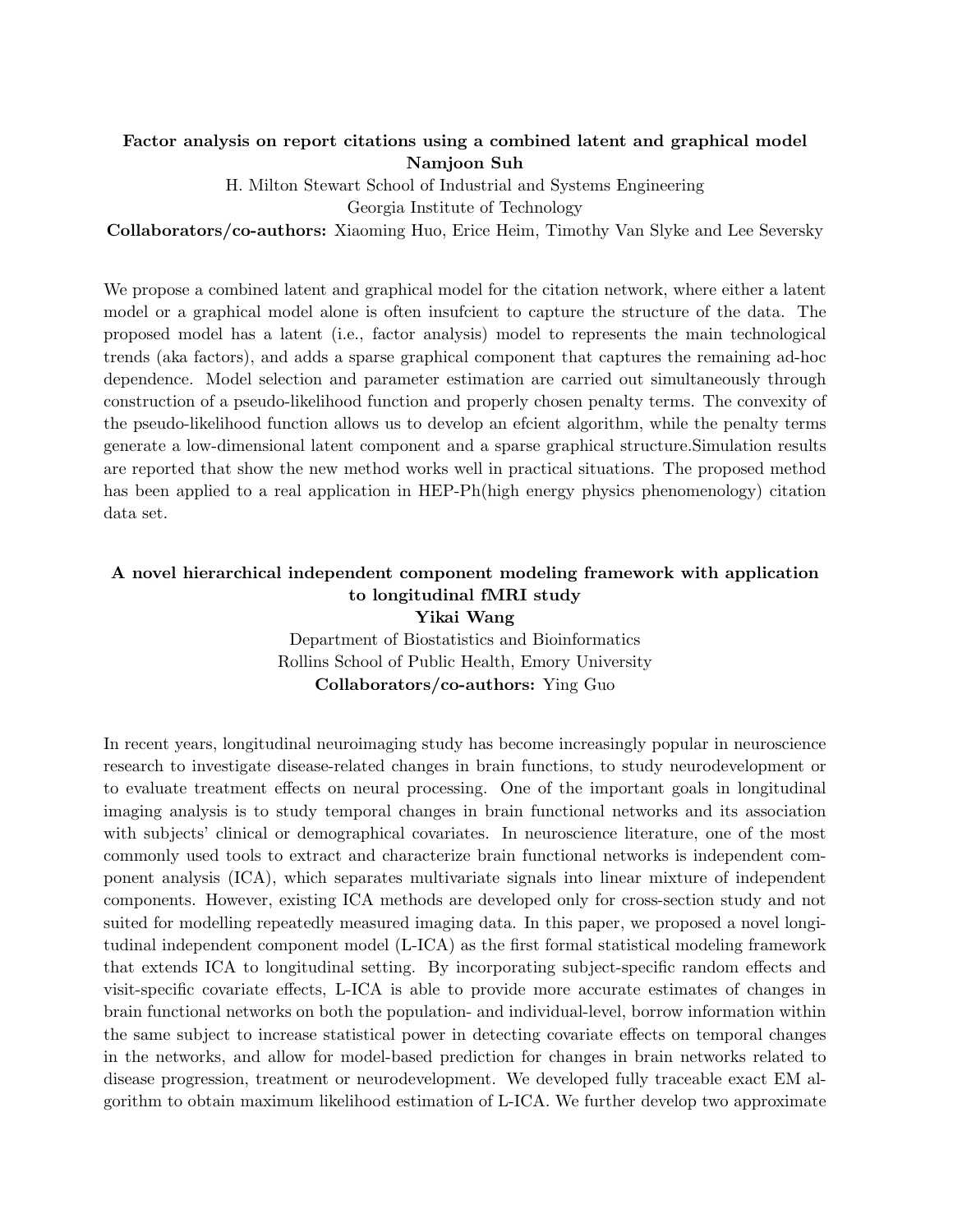#### Factor analysis on report citations using a combined latent and graphical model Namjoon Suh

H. Milton Stewart School of Industrial and Systems Engineering

Georgia Institute of Technology

Collaborators/co-authors: Xiaoming Huo, Erice Heim, Timothy Van Slyke and Lee Seversky

We propose a combined latent and graphical model for the citation network, where either a latent model or a graphical model alone is often insufcient to capture the structure of the data. The proposed model has a latent (i.e., factor analysis) model to represents the main technological trends (aka factors), and adds a sparse graphical component that captures the remaining ad-hoc dependence. Model selection and parameter estimation are carried out simultaneously through construction of a pseudo-likelihood function and properly chosen penalty terms. The convexity of the pseudo-likelihood function allows us to develop an efcient algorithm, while the penalty terms generate a low-dimensional latent component and a sparse graphical structure.Simulation results are reported that show the new method works well in practical situations. The proposed method has been applied to a real application in HEP-Ph(high energy physics phenomenology) citation data set.

#### A novel hierarchical independent component modeling framework with application to longitudinal fMRI study

Yikai Wang Department of Biostatistics and Bioinformatics Rollins School of Public Health, Emory University Collaborators/co-authors: Ying Guo

In recent years, longitudinal neuroimaging study has become increasingly popular in neuroscience research to investigate disease-related changes in brain functions, to study neurodevelopment or to evaluate treatment effects on neural processing. One of the important goals in longitudinal imaging analysis is to study temporal changes in brain functional networks and its association with subjects' clinical or demographical covariates. In neuroscience literature, one of the most commonly used tools to extract and characterize brain functional networks is independent component analysis (ICA), which separates multivariate signals into linear mixture of independent components. However, existing ICA methods are developed only for cross-section study and not suited for modelling repeatedly measured imaging data. In this paper, we proposed a novel longitudinal independent component model (L-ICA) as the first formal statistical modeling framework that extends ICA to longitudinal setting. By incorporating subject-specific random effects and visit-specific covariate effects, L-ICA is able to provide more accurate estimates of changes in brain functional networks on both the population- and individual-level, borrow information within the same subject to increase statistical power in detecting covariate effects on temporal changes in the networks, and allow for model-based prediction for changes in brain networks related to disease progression, treatment or neurodevelopment. We developed fully traceable exact EM algorithm to obtain maximum likelihood estimation of L-ICA. We further develop two approximate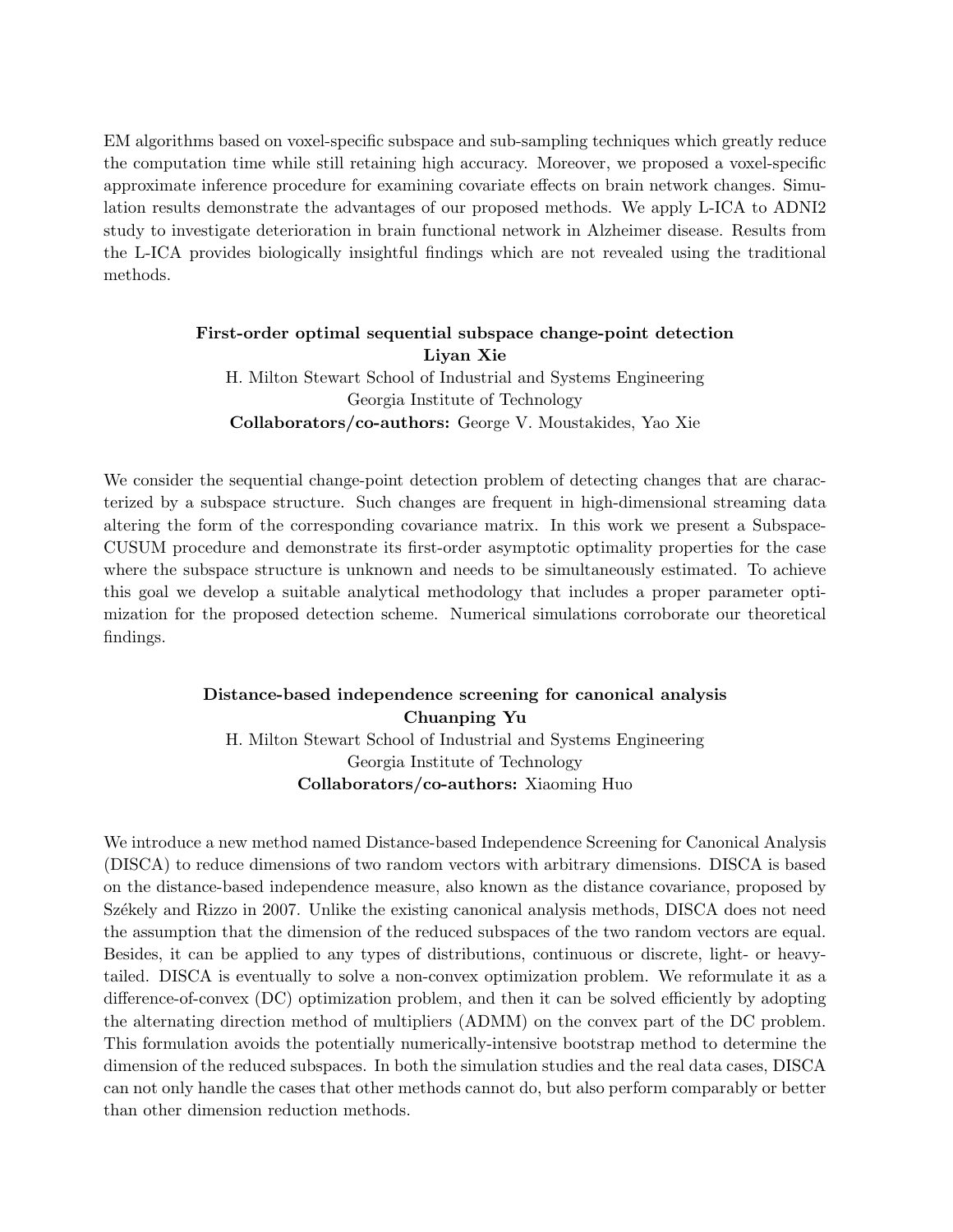EM algorithms based on voxel-specific subspace and sub-sampling techniques which greatly reduce the computation time while still retaining high accuracy. Moreover, we proposed a voxel-specific approximate inference procedure for examining covariate effects on brain network changes. Simulation results demonstrate the advantages of our proposed methods. We apply L-ICA to ADNI2 study to investigate deterioration in brain functional network in Alzheimer disease. Results from the L-ICA provides biologically insightful findings which are not revealed using the traditional methods.

> First-order optimal sequential subspace change-point detection Liyan Xie H. Milton Stewart School of Industrial and Systems Engineering Georgia Institute of Technology Collaborators/co-authors: George V. Moustakides, Yao Xie

We consider the sequential change-point detection problem of detecting changes that are characterized by a subspace structure. Such changes are frequent in high-dimensional streaming data altering the form of the corresponding covariance matrix. In this work we present a Subspace-CUSUM procedure and demonstrate its first-order asymptotic optimality properties for the case where the subspace structure is unknown and needs to be simultaneously estimated. To achieve this goal we develop a suitable analytical methodology that includes a proper parameter optimization for the proposed detection scheme. Numerical simulations corroborate our theoretical findings.

## Distance-based independence screening for canonical analysis Chuanping Yu H. Milton Stewart School of Industrial and Systems Engineering Georgia Institute of Technology Collaborators/co-authors: Xiaoming Huo

We introduce a new method named Distance-based Independence Screening for Canonical Analysis (DISCA) to reduce dimensions of two random vectors with arbitrary dimensions. DISCA is based on the distance-based independence measure, also known as the distance covariance, proposed by Székely and Rizzo in 2007. Unlike the existing canonical analysis methods, DISCA does not need the assumption that the dimension of the reduced subspaces of the two random vectors are equal. Besides, it can be applied to any types of distributions, continuous or discrete, light- or heavytailed. DISCA is eventually to solve a non-convex optimization problem. We reformulate it as a difference-of-convex (DC) optimization problem, and then it can be solved efficiently by adopting the alternating direction method of multipliers (ADMM) on the convex part of the DC problem. This formulation avoids the potentially numerically-intensive bootstrap method to determine the dimension of the reduced subspaces. In both the simulation studies and the real data cases, DISCA can not only handle the cases that other methods cannot do, but also perform comparably or better than other dimension reduction methods.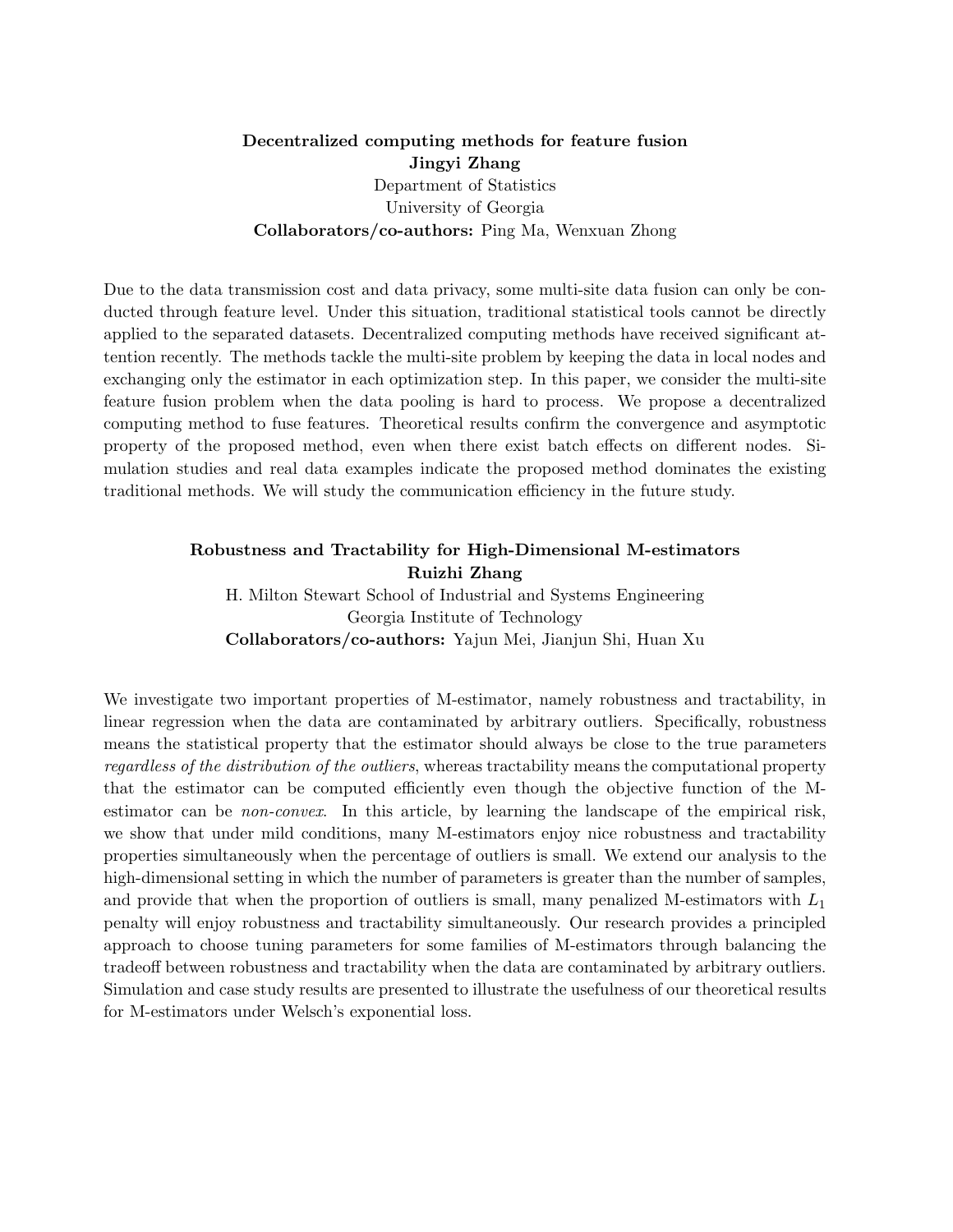#### Decentralized computing methods for feature fusion Jingyi Zhang Department of Statistics University of Georgia Collaborators/co-authors: Ping Ma, Wenxuan Zhong

Due to the data transmission cost and data privacy, some multi-site data fusion can only be conducted through feature level. Under this situation, traditional statistical tools cannot be directly applied to the separated datasets. Decentralized computing methods have received significant attention recently. The methods tackle the multi-site problem by keeping the data in local nodes and exchanging only the estimator in each optimization step. In this paper, we consider the multi-site feature fusion problem when the data pooling is hard to process. We propose a decentralized computing method to fuse features. Theoretical results confirm the convergence and asymptotic property of the proposed method, even when there exist batch effects on different nodes. Simulation studies and real data examples indicate the proposed method dominates the existing traditional methods. We will study the communication efficiency in the future study.

## Robustness and Tractability for High-Dimensional M-estimators Ruizhi Zhang H. Milton Stewart School of Industrial and Systems Engineering Georgia Institute of Technology Collaborators/co-authors: Yajun Mei, Jianjun Shi, Huan Xu

We investigate two important properties of M-estimator, namely robustness and tractability, in linear regression when the data are contaminated by arbitrary outliers. Specifically, robustness means the statistical property that the estimator should always be close to the true parameters regardless of the distribution of the outliers, whereas tractability means the computational property that the estimator can be computed efficiently even though the objective function of the Mestimator can be *non-convex*. In this article, by learning the landscape of the empirical risk, we show that under mild conditions, many M-estimators enjoy nice robustness and tractability properties simultaneously when the percentage of outliers is small. We extend our analysis to the high-dimensional setting in which the number of parameters is greater than the number of samples, and provide that when the proportion of outliers is small, many penalized M-estimators with  $L_1$ penalty will enjoy robustness and tractability simultaneously. Our research provides a principled approach to choose tuning parameters for some families of M-estimators through balancing the tradeoff between robustness and tractability when the data are contaminated by arbitrary outliers. Simulation and case study results are presented to illustrate the usefulness of our theoretical results for M-estimators under Welsch's exponential loss.